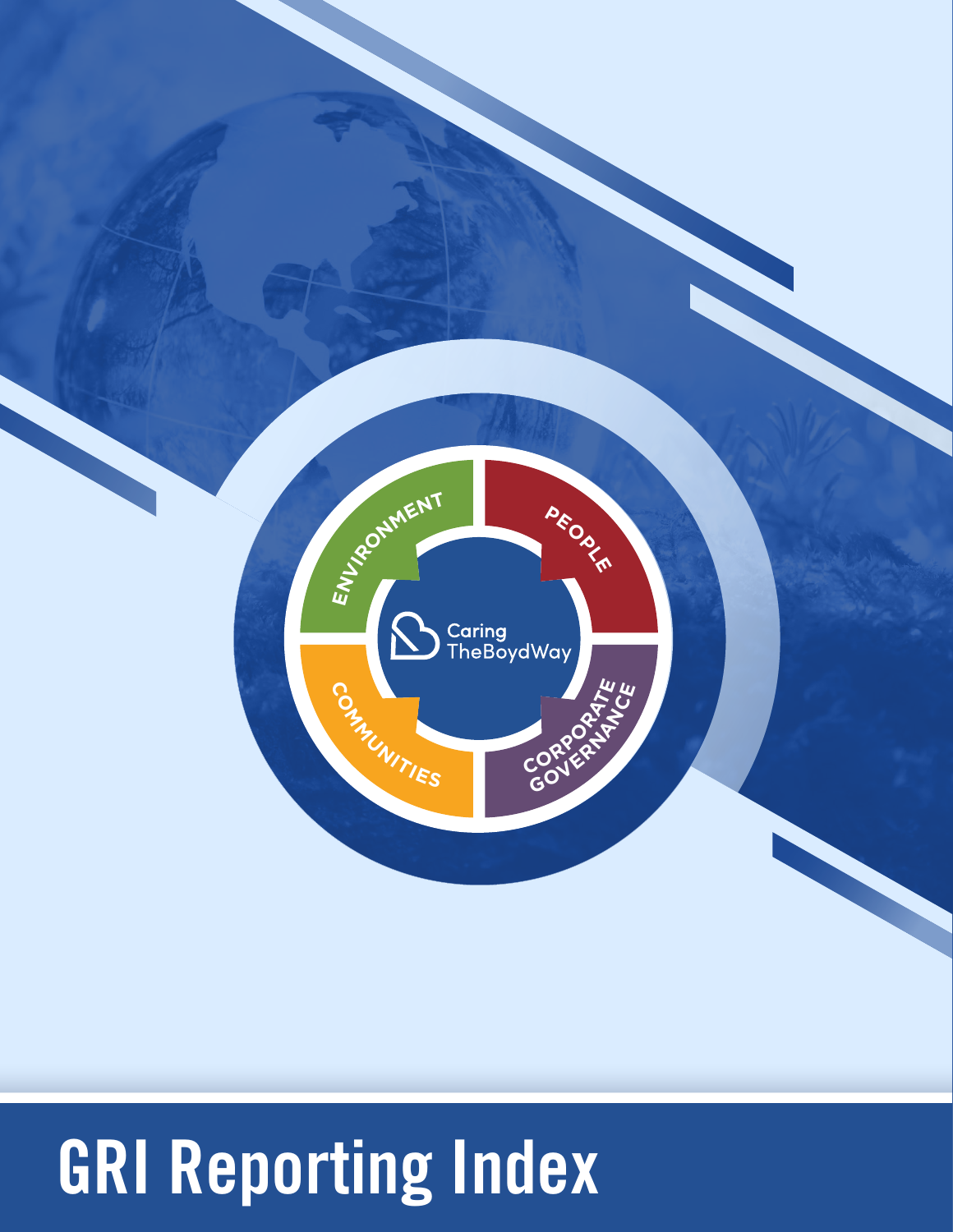

# GRI Reporting Index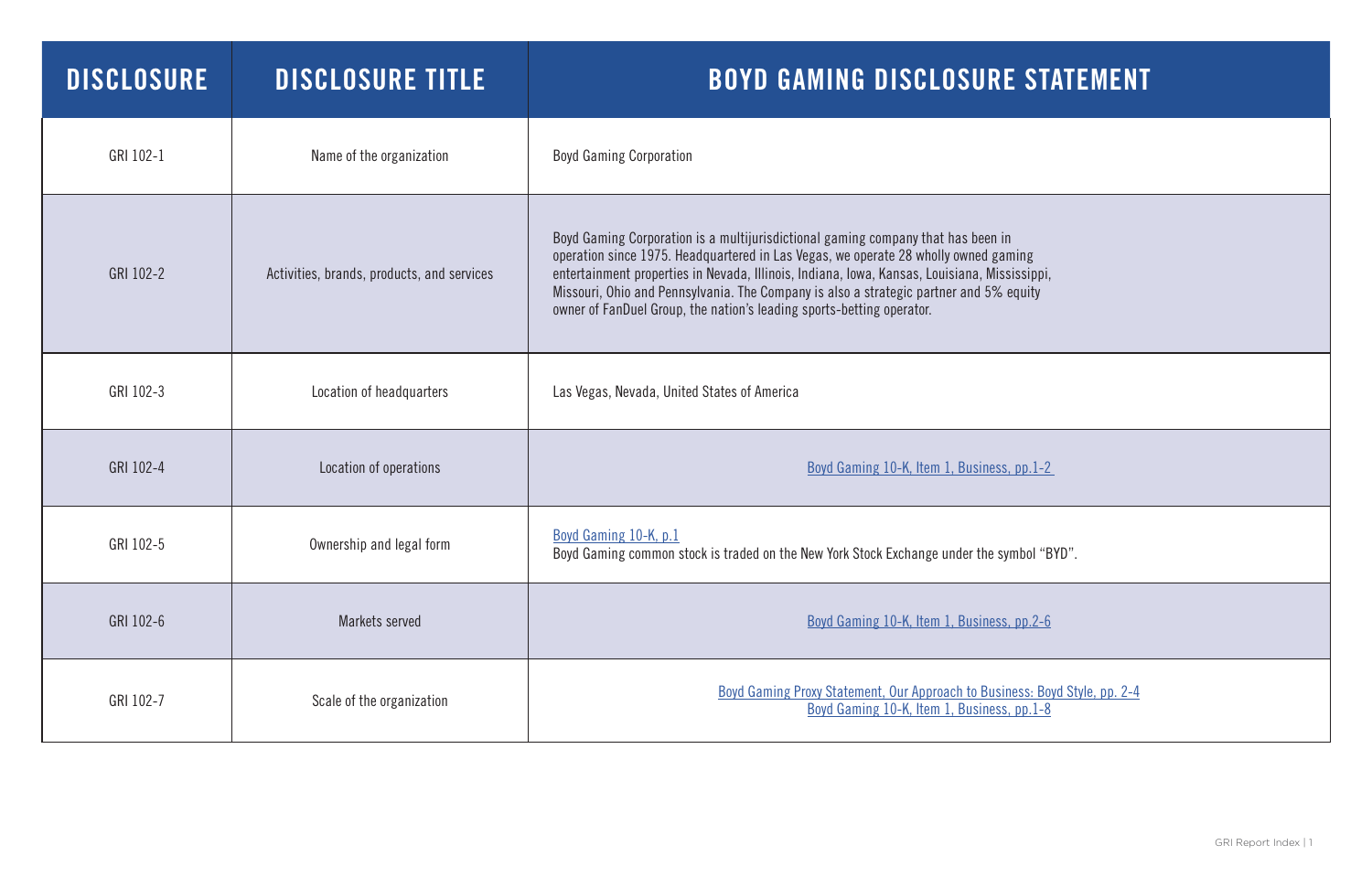| <b>DISCLOSURE</b> | <b>DISCLOSURE TITLE</b>                    | <b>BOYD GAMING DISCLOSURE STATEMEN</b>                                                                                                                                                                                                                                                                                                                                                                                                     |
|-------------------|--------------------------------------------|--------------------------------------------------------------------------------------------------------------------------------------------------------------------------------------------------------------------------------------------------------------------------------------------------------------------------------------------------------------------------------------------------------------------------------------------|
| GRI 102-1         | Name of the organization                   | <b>Boyd Gaming Corporation</b>                                                                                                                                                                                                                                                                                                                                                                                                             |
| GRI 102-2         | Activities, brands, products, and services | Boyd Gaming Corporation is a multijurisdictional gaming company that has been in<br>operation since 1975. Headquartered in Las Vegas, we operate 28 wholly owned gaming<br>entertainment properties in Nevada, Illinois, Indiana, Iowa, Kansas, Louisiana, Mississippi,<br>Missouri, Ohio and Pennsylvania. The Company is also a strategic partner and 5% equity<br>owner of FanDuel Group, the nation's leading sports-betting operator. |
| GRI 102-3         | Location of headquarters                   | Las Vegas, Nevada, United States of America                                                                                                                                                                                                                                                                                                                                                                                                |
| GRI 102-4         | Location of operations                     | Boyd Gaming 10-K, Item 1, Business, pp.1-2                                                                                                                                                                                                                                                                                                                                                                                                 |
| GRI 102-5         | Ownership and legal form                   | Boyd Gaming 10-K, p.1<br>Boyd Gaming common stock is traded on the New York Stock Exchange under the symbol "BYD".                                                                                                                                                                                                                                                                                                                         |
| GRI 102-6         | Markets served                             | Boyd Gaming 10-K, Item 1, Business, pp.2-6                                                                                                                                                                                                                                                                                                                                                                                                 |
| GRI 102-7         | Scale of the organization                  | Boyd Gaming Proxy Statement, Our Approach to Business: Boyd Style, pp. 2-4<br>Boyd Gaming 10-K, Item 1, Business, pp.1-8                                                                                                                                                                                                                                                                                                                   |

# E STATEMENT

| n<br>ming<br>sissippi,<br>equity              |
|-----------------------------------------------|
|                                               |
| $s, pp.1-2$                                   |
| ymbol "BYD".                                  |
| s, pp.2-6                                     |
| ness: Boyd Style, pp. 2-4<br><u>s, pp.1-8</u> |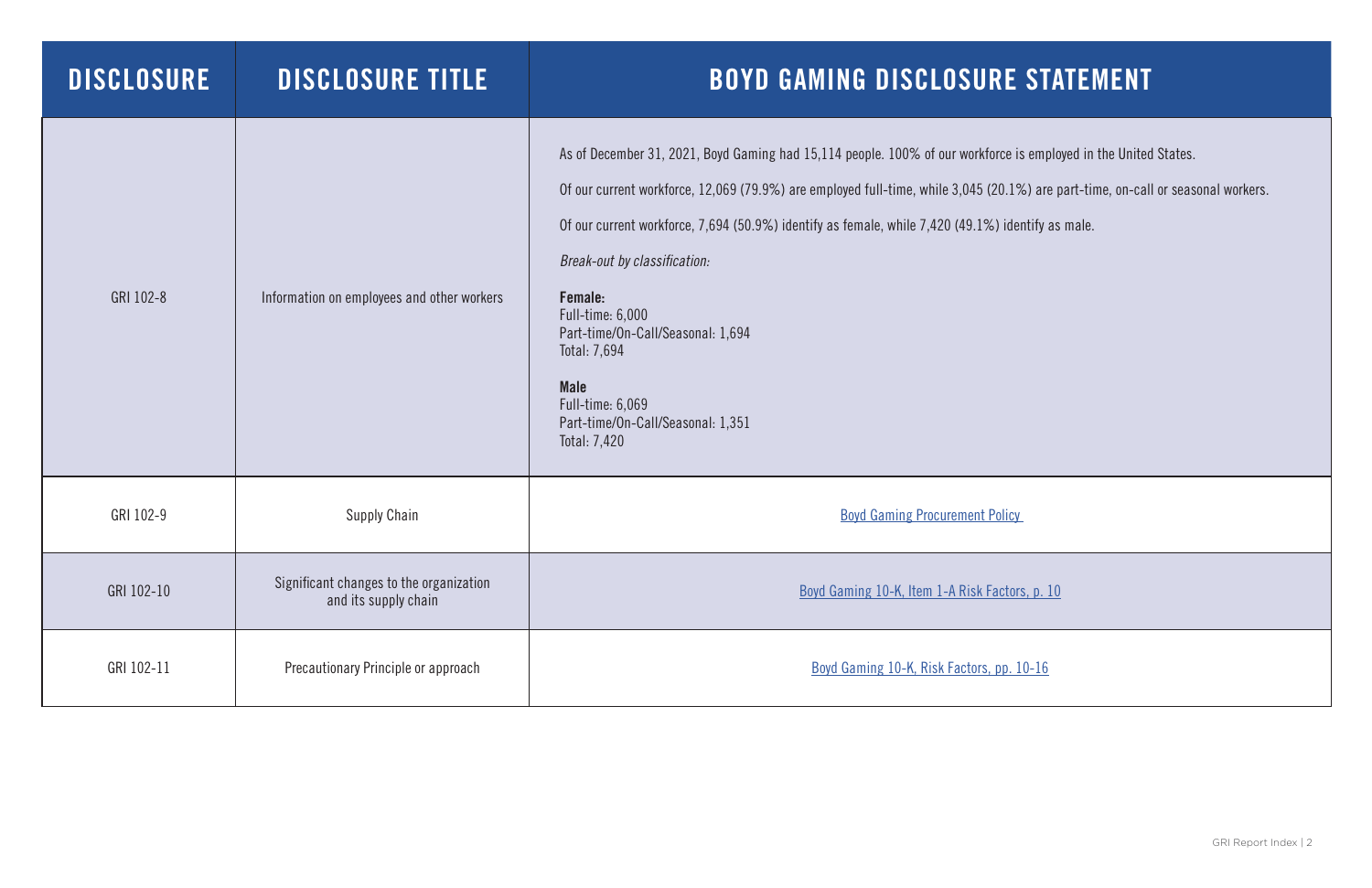| <b>DISCLOSURE</b> | <b>DISCLOSURE TITLE</b>                                         | <b>BOYD GAMING DISCLOSURE STA</b>                                                                                                                                                                                                                                                                                                                                                                                                                                                                             |
|-------------------|-----------------------------------------------------------------|---------------------------------------------------------------------------------------------------------------------------------------------------------------------------------------------------------------------------------------------------------------------------------------------------------------------------------------------------------------------------------------------------------------------------------------------------------------------------------------------------------------|
| GRI 102-8         | Information on employees and other workers                      | As of December 31, 2021, Boyd Gaming had 15,114 people. 100% of our workforce is emplo<br>Of our current workforce, 12,069 (79.9%) are employed full-time, while 3,045 (20.1%) are possible<br>Of our current workforce, 7,694 (50.9%) identify as female, while 7,420 (49.1%) identify as<br>Break-out by classification:<br>Female:<br>Full-time: 6,000<br>Part-time/On-Call/Seasonal: 1,694<br>Total: 7,694<br><b>Male</b><br><b>Full-time: 6,069</b><br>Part-time/On-Call/Seasonal: 1,351<br>Total: 7,420 |
| GRI 102-9         | <b>Supply Chain</b>                                             | <b>Boyd Gaming Procurement Policy</b>                                                                                                                                                                                                                                                                                                                                                                                                                                                                         |
| GRI 102-10        | Significant changes to the organization<br>and its supply chain | Boyd Gaming 10-K, Item 1-A Risk Factors, p. 10                                                                                                                                                                                                                                                                                                                                                                                                                                                                |
| GRI 102-11        | Precautionary Principle or approach                             | Boyd Gaming 10-K, Risk Factors, pp. 10-16                                                                                                                                                                                                                                                                                                                                                                                                                                                                     |

e is employed in the United States.

 $(1\%)$  are part-time, on-call or seasonal workers.

dentify as male.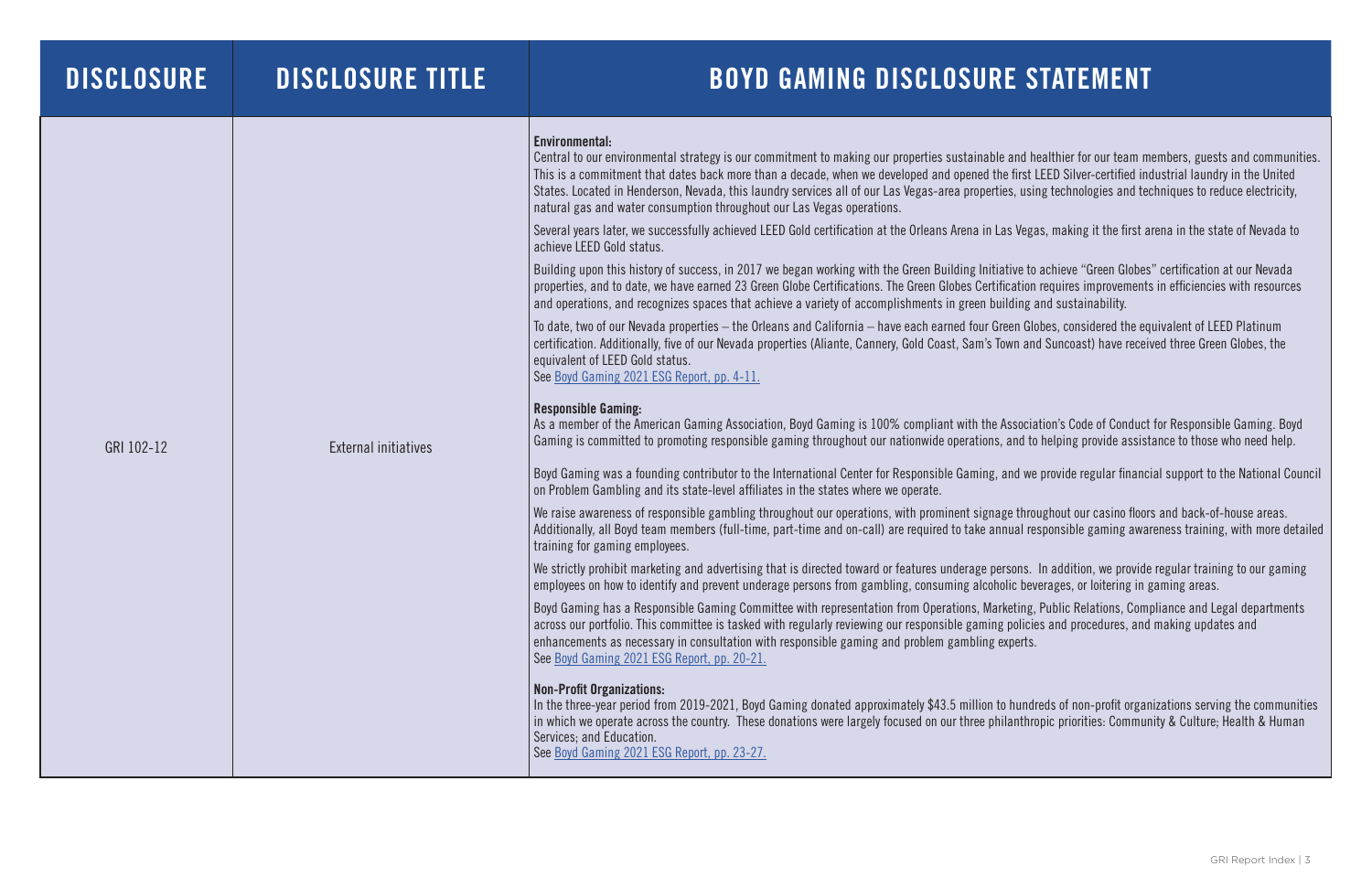| <b>DISCLOSURE</b> | <b>DISCLOSURE TITLE</b>     | <b>BOYD GAMING DISCLOSURE S</b>                                                                                                                                                                                                                                                                                                                                                                                                                                                                                                                                                                                                                                                                                                                                                                                                                                                                                                                                                                                                                                                                                                                                                                                                                                                                                                                                                                                                                                                                                                                                                                                                                                                                                                                                                                                                                                                                                                                                                                                                                                                                                                                                                                                                                                                                                                                                                                                                                                                                                                                                                                                                                                                                                                                                          |
|-------------------|-----------------------------|--------------------------------------------------------------------------------------------------------------------------------------------------------------------------------------------------------------------------------------------------------------------------------------------------------------------------------------------------------------------------------------------------------------------------------------------------------------------------------------------------------------------------------------------------------------------------------------------------------------------------------------------------------------------------------------------------------------------------------------------------------------------------------------------------------------------------------------------------------------------------------------------------------------------------------------------------------------------------------------------------------------------------------------------------------------------------------------------------------------------------------------------------------------------------------------------------------------------------------------------------------------------------------------------------------------------------------------------------------------------------------------------------------------------------------------------------------------------------------------------------------------------------------------------------------------------------------------------------------------------------------------------------------------------------------------------------------------------------------------------------------------------------------------------------------------------------------------------------------------------------------------------------------------------------------------------------------------------------------------------------------------------------------------------------------------------------------------------------------------------------------------------------------------------------------------------------------------------------------------------------------------------------------------------------------------------------------------------------------------------------------------------------------------------------------------------------------------------------------------------------------------------------------------------------------------------------------------------------------------------------------------------------------------------------------------------------------------------------------------------------------------------------|
| GRI 102-12        | <b>External initiatives</b> | Environmental:<br>Central to our environmental strategy is our commitment to making our properties sustainable and h<br>This is a commitment that dates back more than a decade, when we developed and opened the first<br>States. Located in Henderson, Nevada, this laundry services all of our Las Vegas-area properties, usi<br>natural gas and water consumption throughout our Las Vegas operations.<br>Several years later, we successfully achieved LEED Gold certification at the Orleans Arena in Las Vega<br>achieve LEED Gold status.<br>Building upon this history of success, in 2017 we began working with the Green Building Initiative to<br>properties, and to date, we have earned 23 Green Globe Certifications. The Green Globes Certification<br>and operations, and recognizes spaces that achieve a variety of accomplishments in green building a<br>To date, two of our Nevada properties - the Orleans and California - have each earned four Green Glo<br>certification. Additionally, five of our Nevada properties (Aliante, Cannery, Gold Coast, Sam's Town an<br>equivalent of LEED Gold status.<br>See Boyd Gaming 2021 ESG Report, pp. 4-11.<br><b>Responsible Gaming:</b><br>As a member of the American Gaming Association, Boyd Gaming is 100% compliant with the Associa<br>Gaming is committed to promoting responsible gaming throughout our nationwide operations, and to<br>Boyd Gaming was a founding contributor to the International Center for Responsible Gaming, and we<br>on Problem Gambling and its state-level affiliates in the states where we operate.<br>We raise awareness of responsible gambling throughout our operations, with prominent signage thro<br>Additionally, all Boyd team members (full-time, part-time and on-call) are required to take annual re<br>training for gaming employees.<br>We strictly prohibit marketing and advertising that is directed toward or features underage persons.<br>employees on how to identify and prevent underage persons from gambling, consuming alcoholic beven<br>Boyd Gaming has a Responsible Gaming Committee with representation from Operations, Marketing,<br>across our portfolio. This committee is tasked with regularly reviewing our responsible gaming policional<br>enhancements as necessary in consultation with responsible gaming and problem gambling experts.<br>See Boyd Gaming 2021 ESG Report, pp. 20-21.<br><b>Non-Profit Organizations:</b><br>In the three-year period from 2019-2021, Boyd Gaming donated approximately \$43.5 million to hund<br>in which we operate across the country. These donations were largely focused on our three philanthro<br>Services; and Education.<br>See Boyd Gaming 2021 ESG Report, pp. 23-27. |

and healthier for our team members, guests and communities. first LEED Silver-certified industrial laundry in the United ), using technologies and techniques to reduce electricity,

Vegas, making it the first arena in the state of Nevada to

ive to achieve "Green Globes" certification at our Nevada cation requires improvements in efficiencies with resources ding and sustainability.

en Globes, considered the equivalent of LEED Platinum on and Suncoast) have received three Green Globes, the

ssociation's Code of Conduct for Responsible Gaming. Boyd and to helping provide assistance to those who need help.

Id we provide regular financial support to the National Council

throughout our casino floors and back-of-house areas. al responsible gaming awareness training, with more detailed

Sons. In addition, we provide regular training to our gaming ic beverages, or loitering in gaming areas.

eting, Public Relations, Compliance and Legal departments policies and procedures, and making updates and

hundreds of non-profit organizations serving the communities in thropic priorities: Community & Culture; Health & Human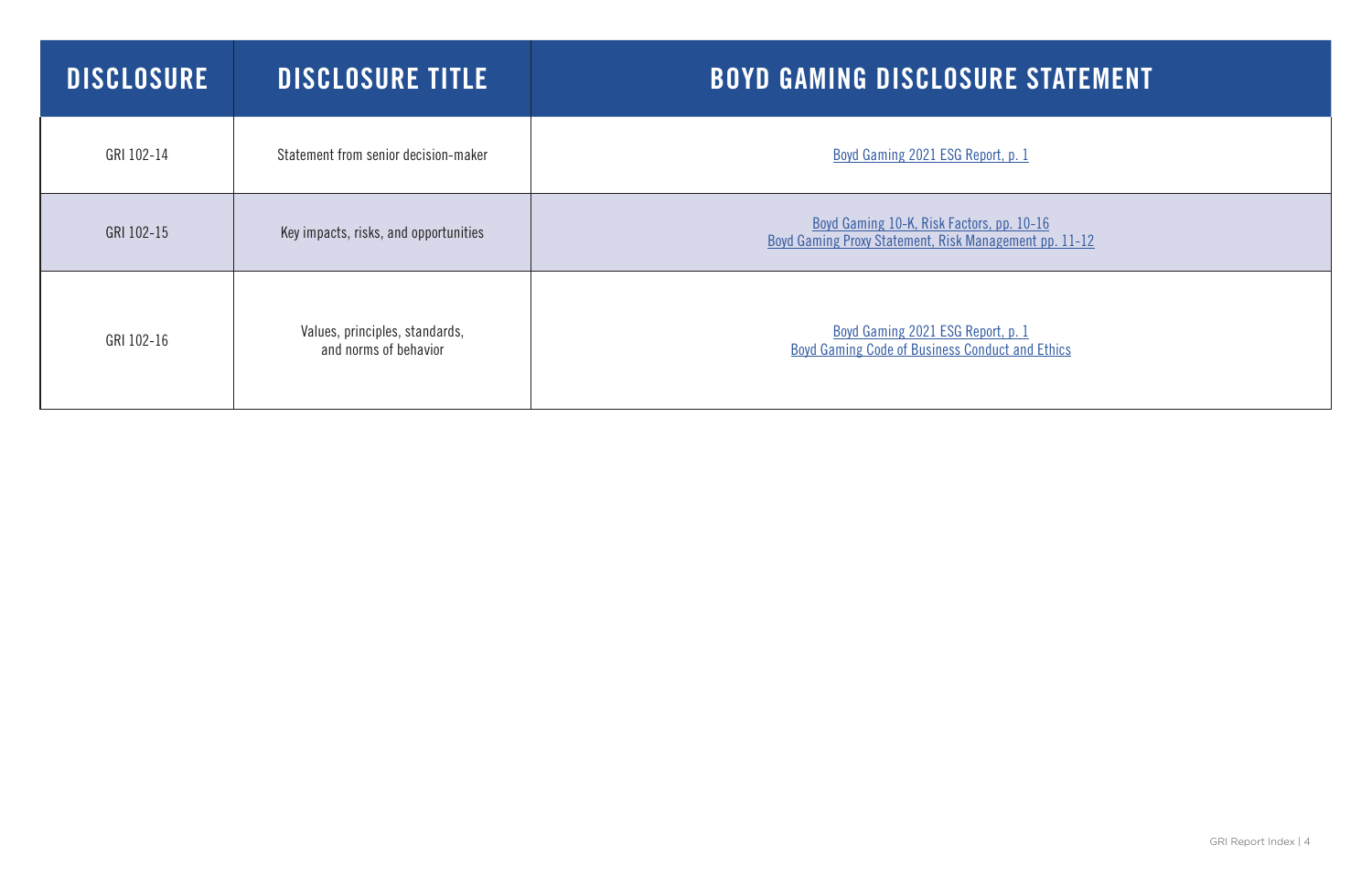| <b>DISCLOSURE</b> | <b>DISCLOSURE TITLE</b>                                 | <b>BOYD GAMING DISCLOSURE STAT</b>                                                               |
|-------------------|---------------------------------------------------------|--------------------------------------------------------------------------------------------------|
| GRI 102-14        | Statement from senior decision-maker                    | Boyd Gaming 2021 ESG Report, p. 1                                                                |
| GRI 102-15        | Key impacts, risks, and opportunities                   | Boyd Gaming 10-K, Risk Factors, pp. 10-16<br>Boyd Gaming Proxy Statement, Risk Management pp. 11 |
| GRI 102-16        | Values, principles, standards,<br>and norms of behavior | Boyd Gaming 2021 ESG Report, p. 1<br>Boyd Gaming Code of Business Conduct and Ethics             |

# E STATEMENT

 $\overline{\text{ement}}$  pp. 11-12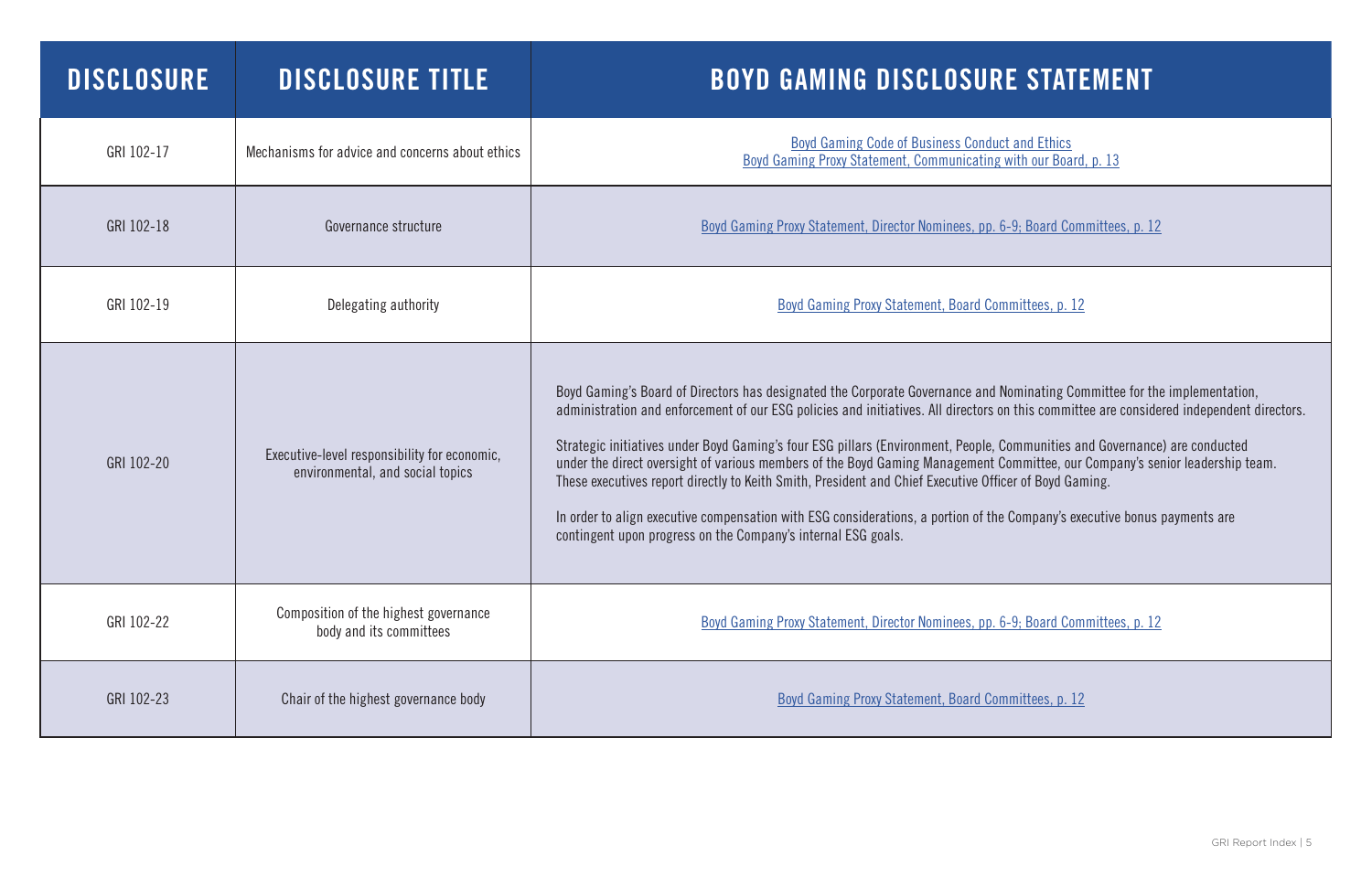| <b>DISCLOSURE</b> | <b>DISCLOSURE TITLE</b>                                                          | <b>BOYD GAMING DISCLOSURE STATEMENT</b>                                                                                                                                                                                                                                                                                                                                                                                                                                                                                                                                                                                                                                                                                                                                                                                                      |
|-------------------|----------------------------------------------------------------------------------|----------------------------------------------------------------------------------------------------------------------------------------------------------------------------------------------------------------------------------------------------------------------------------------------------------------------------------------------------------------------------------------------------------------------------------------------------------------------------------------------------------------------------------------------------------------------------------------------------------------------------------------------------------------------------------------------------------------------------------------------------------------------------------------------------------------------------------------------|
| GRI 102-17        | Mechanisms for advice and concerns about ethics                                  | <b>Boyd Gaming Code of Business Conduct and Ethics</b><br>Boyd Gaming Proxy Statement, Communicating with our Board, p. 13                                                                                                                                                                                                                                                                                                                                                                                                                                                                                                                                                                                                                                                                                                                   |
| GRI 102-18        | Governance structure                                                             | Boyd Gaming Proxy Statement, Director Nominees, pp. 6-9; Board Committees, p. 12                                                                                                                                                                                                                                                                                                                                                                                                                                                                                                                                                                                                                                                                                                                                                             |
| GRI 102-19        | Delegating authority                                                             | <b>Boyd Gaming Proxy Statement, Board Committees, p. 12</b>                                                                                                                                                                                                                                                                                                                                                                                                                                                                                                                                                                                                                                                                                                                                                                                  |
| GRI 102-20        | Executive-level responsibility for economic,<br>environmental, and social topics | Boyd Gaming's Board of Directors has designated the Corporate Governance and Nominating Committee for the implementation,<br>administration and enforcement of our ESG policies and initiatives. All directors on this committee are considered independent directors.<br>Strategic initiatives under Boyd Gaming's four ESG pillars (Environment, People, Communities and Governance) are conducted<br>under the direct oversight of various members of the Boyd Gaming Management Committee, our Company's senior leadership team.<br>These executives report directly to Keith Smith, President and Chief Executive Officer of Boyd Gaming.<br>In order to align executive compensation with ESG considerations, a portion of the Company's executive bonus payments are<br>contingent upon progress on the Company's internal ESG goals. |
| GRI 102-22        | Composition of the highest governance<br>body and its committees                 | Boyd Gaming Proxy Statement, Director Nominees, pp. 6-9; Board Committees, p. 12                                                                                                                                                                                                                                                                                                                                                                                                                                                                                                                                                                                                                                                                                                                                                             |
| GRI 102-23        | Chair of the highest governance body                                             | Boyd Gaming Proxy Statement, Board Committees, p. 12                                                                                                                                                                                                                                                                                                                                                                                                                                                                                                                                                                                                                                                                                                                                                                                         |

### E STATEMENT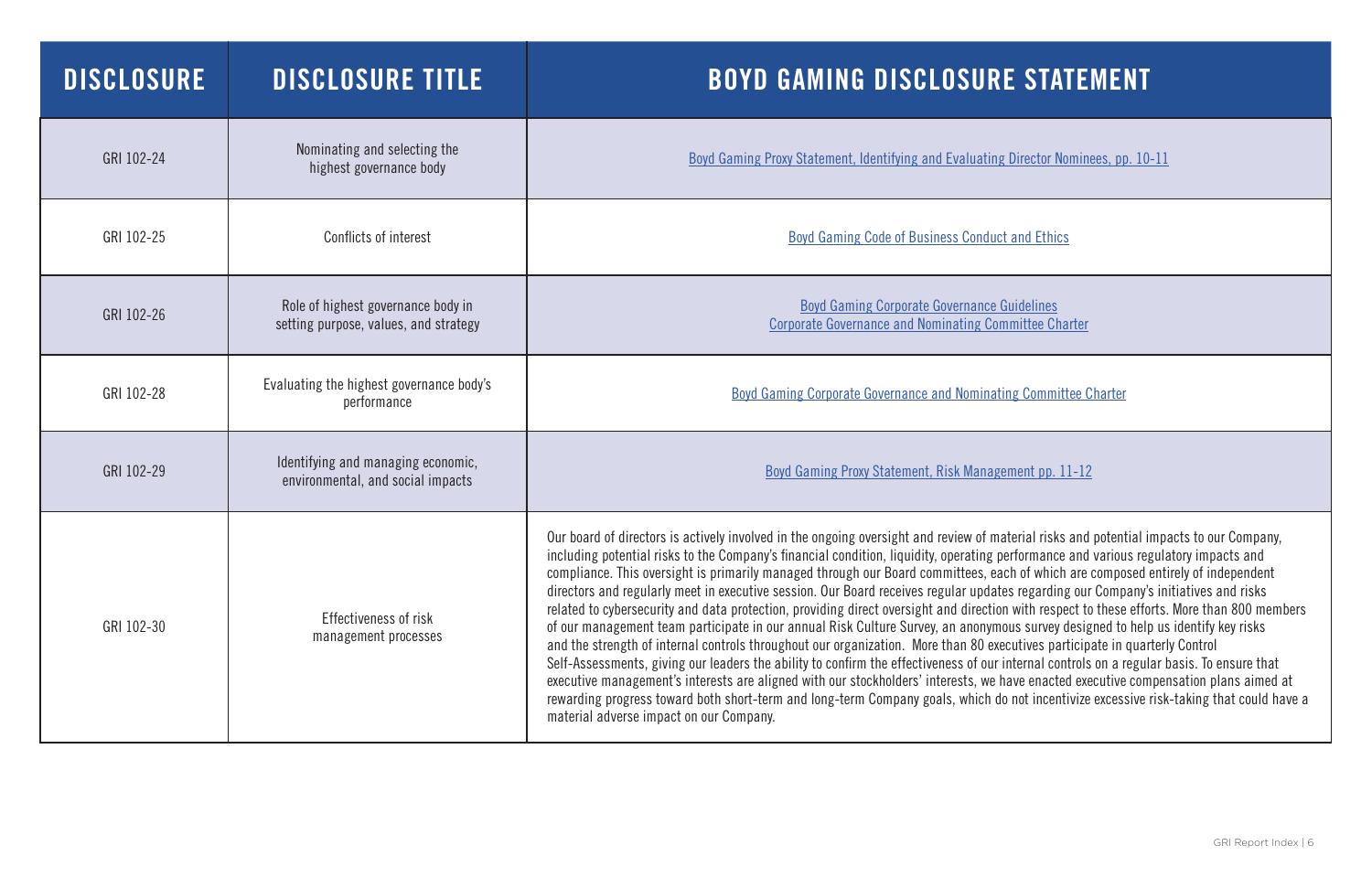| <b>DISCLOSURE</b> | <b>DISCLOSURE TITLE</b>                                                     | <b>BOYD GAMING DISCLOSURE STATEME!</b>                                                                                                                                                                                                                                                                                                                                                                                                                                                                                                                                                                                                                                                                                                                                                                                                                                                                                                                                                                                                                                                                                                                                      |
|-------------------|-----------------------------------------------------------------------------|-----------------------------------------------------------------------------------------------------------------------------------------------------------------------------------------------------------------------------------------------------------------------------------------------------------------------------------------------------------------------------------------------------------------------------------------------------------------------------------------------------------------------------------------------------------------------------------------------------------------------------------------------------------------------------------------------------------------------------------------------------------------------------------------------------------------------------------------------------------------------------------------------------------------------------------------------------------------------------------------------------------------------------------------------------------------------------------------------------------------------------------------------------------------------------|
| GRI 102-24        | Nominating and selecting the<br>highest governance body                     | <b>Boyd Gaming Proxy Statement, Identifying and Evaluating Director Nominees, pp</b>                                                                                                                                                                                                                                                                                                                                                                                                                                                                                                                                                                                                                                                                                                                                                                                                                                                                                                                                                                                                                                                                                        |
| GRI 102-25        | Conflicts of interest                                                       | <b>Boyd Gaming Code of Business Conduct and Ethics</b>                                                                                                                                                                                                                                                                                                                                                                                                                                                                                                                                                                                                                                                                                                                                                                                                                                                                                                                                                                                                                                                                                                                      |
| GRI 102-26        | Role of highest governance body in<br>setting purpose, values, and strategy | <b>Boyd Gaming Corporate Governance Guidelines</b><br><b>Corporate Governance and Nominating Committee Charter</b>                                                                                                                                                                                                                                                                                                                                                                                                                                                                                                                                                                                                                                                                                                                                                                                                                                                                                                                                                                                                                                                          |
| GRI 102-28        | Evaluating the highest governance body's<br>performance                     | <b>Boyd Gaming Corporate Governance and Nominating Committee Charter</b>                                                                                                                                                                                                                                                                                                                                                                                                                                                                                                                                                                                                                                                                                                                                                                                                                                                                                                                                                                                                                                                                                                    |
| GRI 102-29        | Identifying and managing economic,<br>environmental, and social impacts     | <b>Boyd Gaming Proxy Statement, Risk Management pp. 11-12</b>                                                                                                                                                                                                                                                                                                                                                                                                                                                                                                                                                                                                                                                                                                                                                                                                                                                                                                                                                                                                                                                                                                               |
| GRI 102-30        | Effectiveness of risk<br>management processes                               | Our board of directors is actively involved in the ongoing oversight and review of material risks and potential<br>including potential risks to the Company's financial condition, liquidity, operating performance and variour<br>compliance. This oversight is primarily managed through our Board committees, each of which are compo<br>directors and regularly meet in executive session. Our Board receives regular updates regarding our Comp<br>related to cybersecurity and data protection, providing direct oversight and direction with respect to these<br>of our management team participate in our annual Risk Culture Survey, an anonymous survey designed to<br>and the strength of internal controls throughout our organization. More than 80 executives participate in<br>Self-Assessments, giving our leaders the ability to confirm the effectiveness of our internal controls on a r<br>executive management's interests are aligned with our stockholders' interests, we have enacted executive<br>rewarding progress toward both short-term and long-term Company goals, which do not incentivize exces<br>material adverse impact on our Company. |

Director Nominees, pp. 10-11

terial risks and potential impacts to our Company, erformance and various regulatory impacts and ch of which are composed entirely of independent es regarding our Company's initiatives and risks with respect to these efforts. More than 800 members  $\overline{\text{m}}$  survey designed to help us identify key risks cutives participate in quarterly Control nternal controls on a regular basis. To ensure that ave enacted executive compensation plans aimed at not incentivize excessive risk-taking that could have a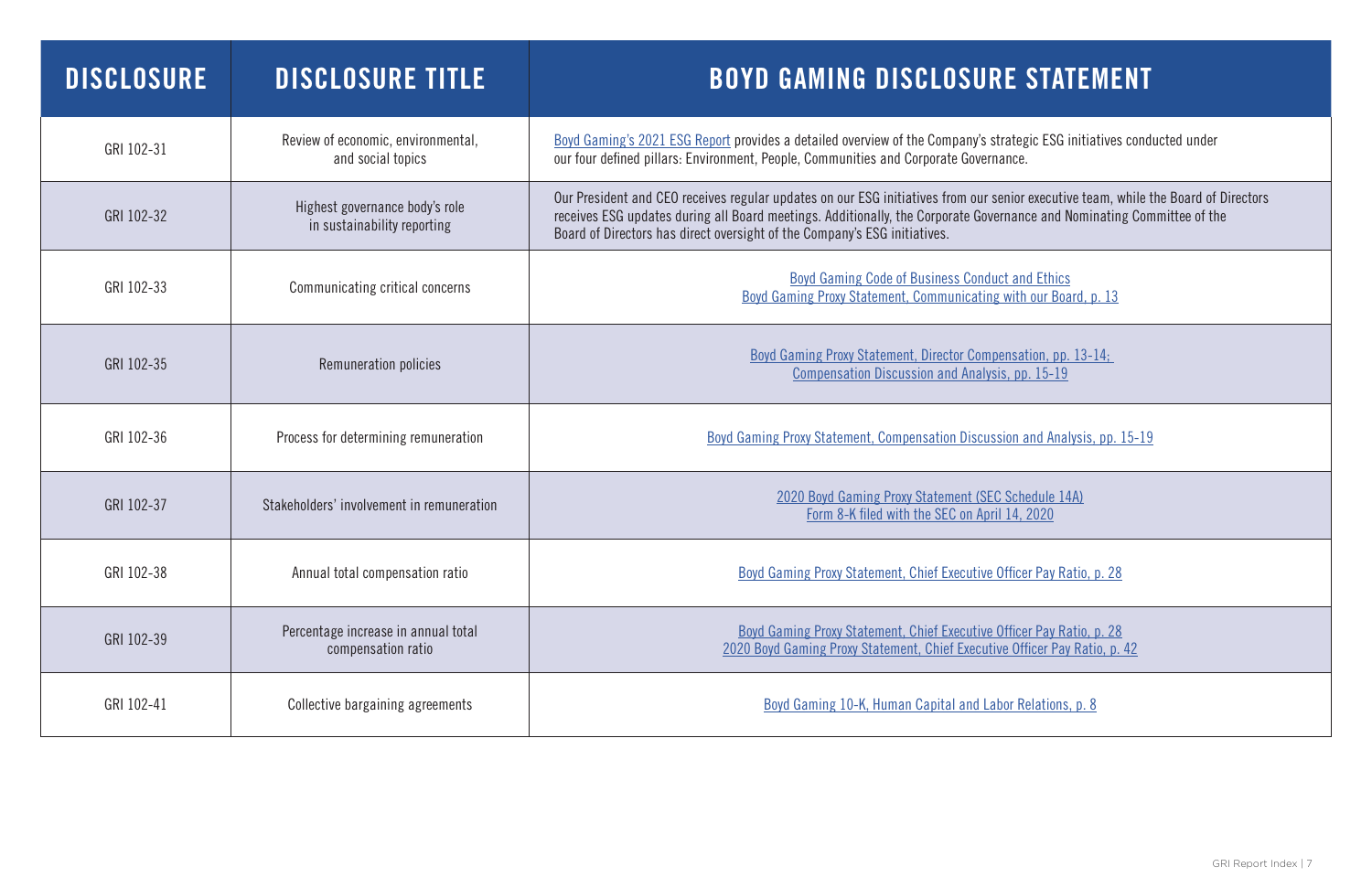| <b>DISCLOSURE</b> | DISCLOSURE TITLE                                              | <b>BOYD GAMING DISCLOSURE STATEMI</b>                                                                                                                                                                                                                                                     |
|-------------------|---------------------------------------------------------------|-------------------------------------------------------------------------------------------------------------------------------------------------------------------------------------------------------------------------------------------------------------------------------------------|
| GRI 102-31        | Review of economic, environmental,<br>and social topics       | Boyd Gaming's 2021 ESG Report provides a detailed overview of the Company's strategic ESG initiative<br>our four defined pillars: Environment, People, Communities and Corporate Governance.                                                                                              |
| GRI 102-32        | Highest governance body's role<br>in sustainability reporting | Our President and CEO receives regular updates on our ESG initiatives from our senior executive team,<br>receives ESG updates during all Board meetings. Additionally, the Corporate Governance and Nominati<br>Board of Directors has direct oversight of the Company's ESG initiatives. |
| GRI 102-33        | Communicating critical concerns                               | <b>Boyd Gaming Code of Business Conduct and Ethics</b><br>Boyd Gaming Proxy Statement, Communicating with our Board, p. 13                                                                                                                                                                |
| GRI 102-35        | Remuneration policies                                         | Boyd Gaming Proxy Statement, Director Compensation, pp. 13-14;<br>Compensation Discussion and Analysis, pp. 15-19                                                                                                                                                                         |
| GRI 102-36        | Process for determining remuneration                          | <b>Boyd Gaming Proxy Statement, Compensation Discussion and Analysis, pp</b>                                                                                                                                                                                                              |
| GRI 102-37        | Stakeholders' involvement in remuneration                     | 2020 Boyd Gaming Proxy Statement (SEC Schedule 14A)<br>Form 8-K filed with the SEC on April 14, 2020                                                                                                                                                                                      |
| GRI 102-38        | Annual total compensation ratio                               | Boyd Gaming Proxy Statement, Chief Executive Officer Pay Ratio, p. 2                                                                                                                                                                                                                      |
| GRI 102-39        | Percentage increase in annual total<br>compensation ratio     | Boyd Gaming Proxy Statement, Chief Executive Officer Pay Ratio, p. 2<br>2020 Boyd Gaming Proxy Statement, Chief Executive Officer Pay Ratio, p                                                                                                                                            |
| GRI 102-41        | Collective bargaining agreements                              | Boyd Gaming 10-K, Human Capital and Labor Relations, p. 8                                                                                                                                                                                                                                 |

ategic ESG initiatives conducted under

ior executive team, while the Board of Directors rance and Nominating Committee of the

 $\overline{\text{with our Board, p. 13}}$ 

on and Analysis, pp. 15-19

fficer Pay Ratio, p. 28

Ficer Pay Ratio, p. 28 020 Bofficer Pay Ratio, p. 42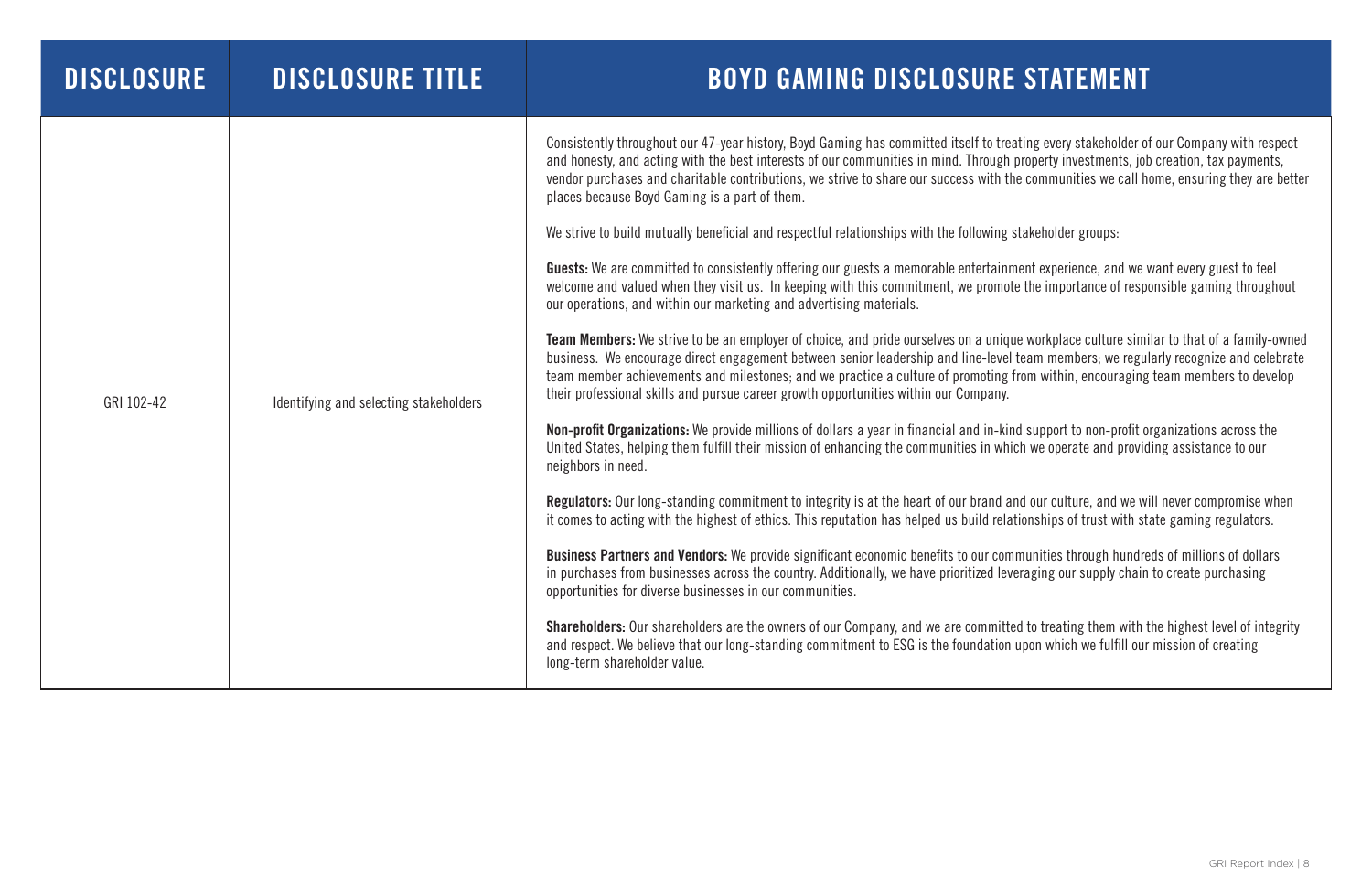| <b>DISCLOSURE</b> | <b>DISCLOSURE TITLE</b>                | <b>BOYD GAMING DISCLOSURE</b>                                                                                                                                                                                                                                                                                                                                                                                                                                                                                                                                                                                                                                                                                                                                                                                                                                                                                                                                                                                                                                                                                                                                                                                                                                                                                                                                                                                                                                                                                                                                                                                                                                                                                                                                                                                                                                                                                              |
|-------------------|----------------------------------------|----------------------------------------------------------------------------------------------------------------------------------------------------------------------------------------------------------------------------------------------------------------------------------------------------------------------------------------------------------------------------------------------------------------------------------------------------------------------------------------------------------------------------------------------------------------------------------------------------------------------------------------------------------------------------------------------------------------------------------------------------------------------------------------------------------------------------------------------------------------------------------------------------------------------------------------------------------------------------------------------------------------------------------------------------------------------------------------------------------------------------------------------------------------------------------------------------------------------------------------------------------------------------------------------------------------------------------------------------------------------------------------------------------------------------------------------------------------------------------------------------------------------------------------------------------------------------------------------------------------------------------------------------------------------------------------------------------------------------------------------------------------------------------------------------------------------------------------------------------------------------------------------------------------------------|
| GRI 102-42        | Identifying and selecting stakeholders | Consistently throughout our 47-year history, Boyd Gaming has committed itself to tre<br>and honesty, and acting with the best interests of our communities in mind. Through<br>vendor purchases and charitable contributions, we strive to share our success with th<br>places because Boyd Gaming is a part of them.<br>We strive to build mutually beneficial and respectful relationships with the following<br><b>Guests:</b> We are committed to consistently offering our guests a memorable entertainr<br>welcome and valued when they visit us. In keeping with this commitment, we promot<br>our operations, and within our marketing and advertising materials.<br><b>Team Members:</b> We strive to be an employer of choice, and pride ourselves on a uniqu<br>business. We encourage direct engagement between senior leadership and line-level<br>team member achievements and milestones; and we practice a culture of promoting<br>their professional skills and pursue career growth opportunities within our Company.<br><b>Non-profit Organizations:</b> We provide millions of dollars a year in financial and in-kin<br>United States, helping them fulfill their mission of enhancing the communities in white<br>neighbors in need.<br><b>Regulators:</b> Our long-standing commitment to integrity is at the heart of our brand a<br>it comes to acting with the highest of ethics. This reputation has helped us build rela<br><b>Business Partners and Vendors:</b> We provide significant economic benefits to our com<br>in purchases from businesses across the country. Additionally, we have prioritized lev<br>opportunities for diverse businesses in our communities.<br><b>Shareholders:</b> Our shareholders are the owners of our Company, and we are committed<br>and respect. We believe that our long-standing commitment to ESG is the foundation<br>long-term shareholder value. |

eating every stakeholder of our Company with respect property investments, job creation, tax payments, he communities we call home, ensuring they are better

stakeholder groups:

ment experience, and we want every guest to feel te the importance of responsible gaming throughout

ue workplace culture similar to that of a family-owned I team members; we regularly recognize and celebrate from within, encouraging team members to develop

nd support to non-profit organizations across the ich we operate and providing assistance to our

and our culture, and we will never compromise when ationships of trust with state gaming regulators.

mmunities through hundreds of millions of dollars veraging our supply chain to create purchasing

ted to treating them with the highest level of integrity upon which we fulfill our mission of creating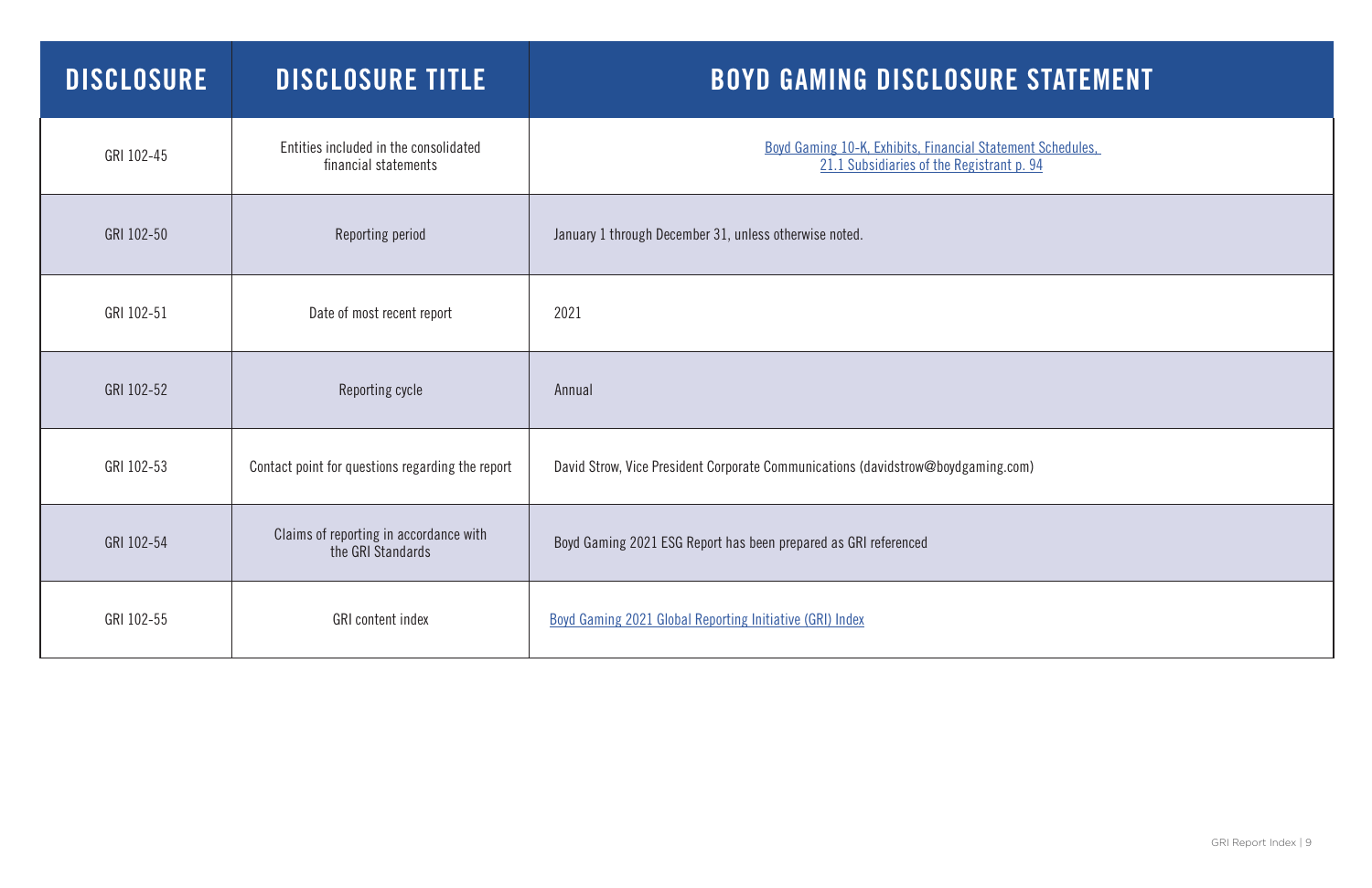GRI Report Index | 9

| <b>DISCLOSURE</b> | <b>DISCLOSURE TITLE</b>                                       | <b>BOYD GAMING DISCLOSURE STATEN</b>                                                                    |
|-------------------|---------------------------------------------------------------|---------------------------------------------------------------------------------------------------------|
| GRI 102-45        | Entities included in the consolidated<br>financial statements | Boyd Gaming 10-K, Exhibits, Financial Statement Schedules,<br>21.1 Subsidiaries of the Registrant p. 94 |
| GRI 102-50        | Reporting period                                              | January 1 through December 31, unless otherwise noted.                                                  |
| GRI 102-51        | Date of most recent report                                    | 2021                                                                                                    |
| GRI 102-52        | Reporting cycle                                               | Annual                                                                                                  |
| GRI 102-53        | Contact point for questions regarding the report              | David Strow, Vice President Corporate Communications (davidstrow@boydgaming.com)                        |
| GRI 102-54        | Claims of reporting in accordance with<br>the GRI Standards   | Boyd Gaming 2021 ESG Report has been prepared as GRI referenced                                         |
| GRI 102-55        | <b>GRI</b> content index                                      | <b>Boyd Gaming 2021 Global Reporting Initiative (GRI) Index</b>                                         |

# E STATEMENT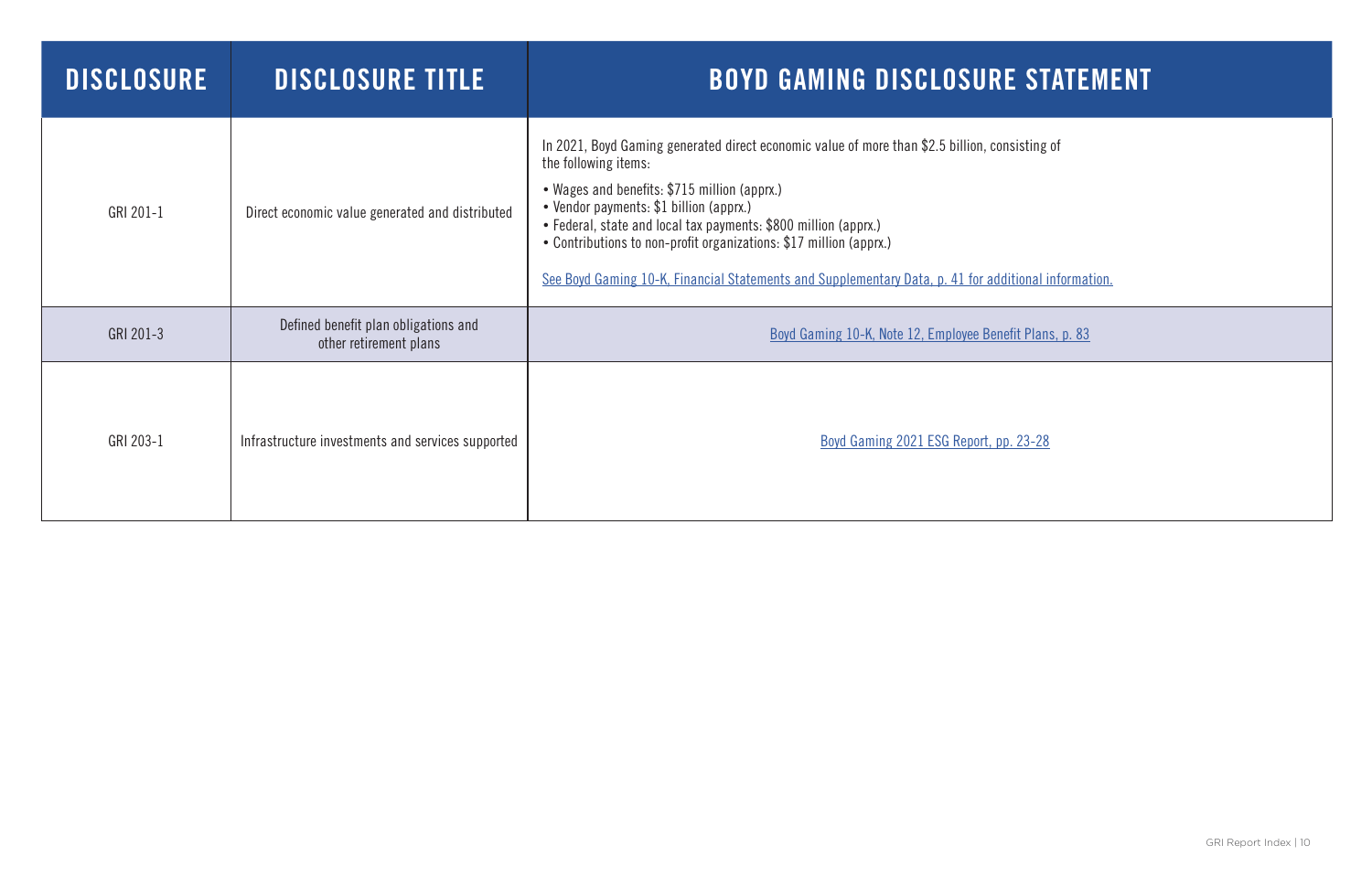| <b>DISCLOSURE</b> | <b>DISCLOSURE TITLE</b>                                        | <b>BOYD GAMING DISCLOSURE STATE</b>                                                                                                                                                                                                                                                                                                                                                                                                                           |
|-------------------|----------------------------------------------------------------|---------------------------------------------------------------------------------------------------------------------------------------------------------------------------------------------------------------------------------------------------------------------------------------------------------------------------------------------------------------------------------------------------------------------------------------------------------------|
| GRI 201-1         | Direct economic value generated and distributed                | In 2021, Boyd Gaming generated direct economic value of more than \$2.5 billion, consisting of<br>the following items:<br>• Wages and benefits: \$715 million (apprx.)<br>• Vendor payments: \$1 billion (apprx.)<br>• Federal, state and local tax payments: \$800 million (apprx.)<br>• Contributions to non-profit organizations: \$17 million (apprx.)<br>See Boyd Gaming 10-K, Financial Statements and Supplementary Data, p. 41 for additional informa |
| GRI 201-3         | Defined benefit plan obligations and<br>other retirement plans | Boyd Gaming 10-K, Note 12, Employee Benefit Plans, p. 83                                                                                                                                                                                                                                                                                                                                                                                                      |
| GRI 203-1         | Infrastructure investments and services supported              | Boyd Gaming 2021 ESG Report, pp. 23-28                                                                                                                                                                                                                                                                                                                                                                                                                        |

itional information.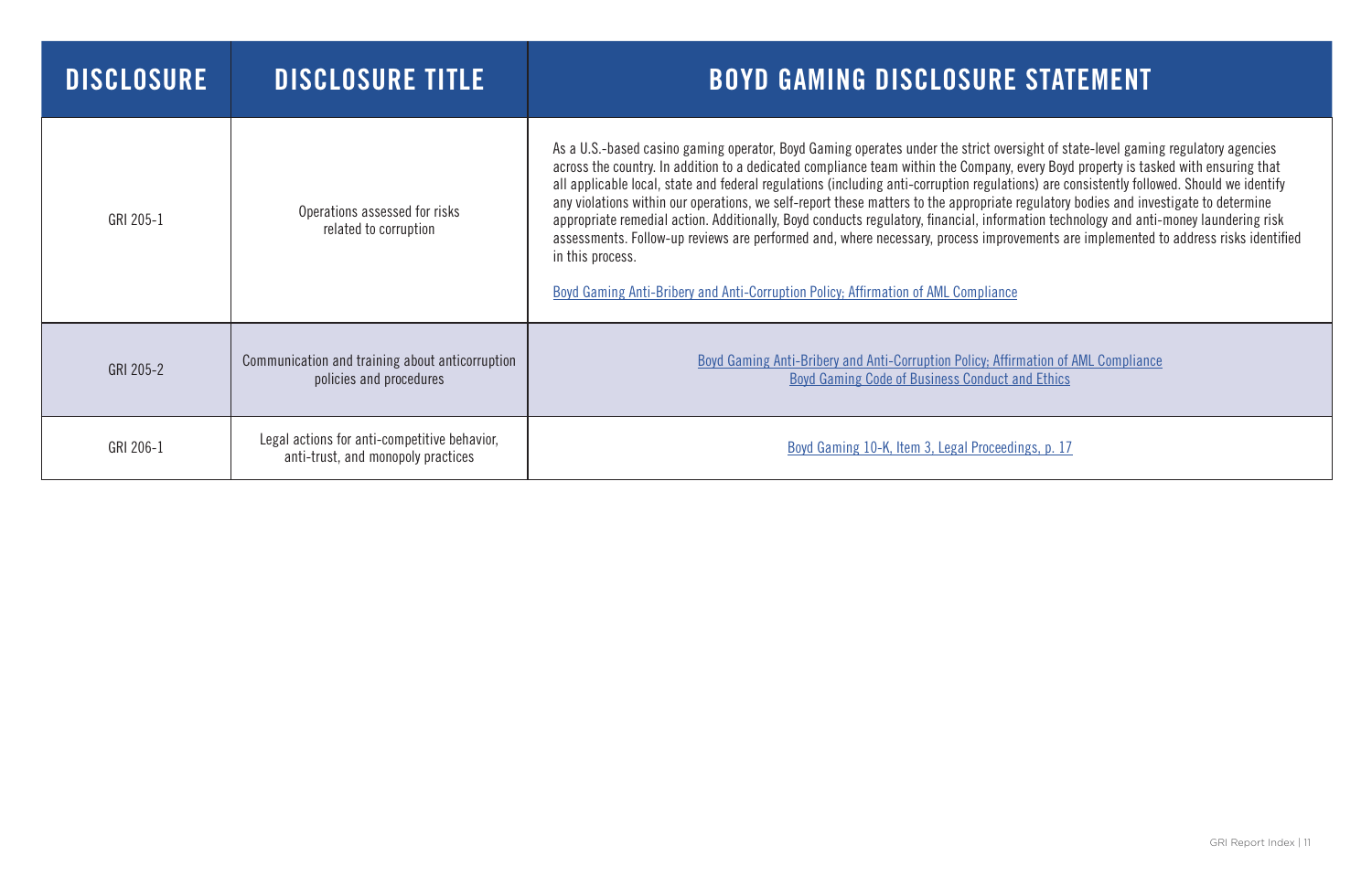| <b>DISCLOSURE</b> | <b>DISCLOSURE TITLE</b>                                                            | <b>BOYD GAMING DISCLOSURE STATEMENT</b>                                                                                                                                                                                                                                                                                                                                                                                                                                                                                                                                                                                                                                                                                                                                                                                                                                                                                                                        |
|-------------------|------------------------------------------------------------------------------------|----------------------------------------------------------------------------------------------------------------------------------------------------------------------------------------------------------------------------------------------------------------------------------------------------------------------------------------------------------------------------------------------------------------------------------------------------------------------------------------------------------------------------------------------------------------------------------------------------------------------------------------------------------------------------------------------------------------------------------------------------------------------------------------------------------------------------------------------------------------------------------------------------------------------------------------------------------------|
| GRI 205-1         | Operations assessed for risks<br>related to corruption                             | As a U.S.-based casino gaming operator, Boyd Gaming operates under the strict oversight of state-level gaming regulatory agencies<br>across the country. In addition to a dedicated compliance team within the Company, every Boyd property is tasked with ensuring that<br>all applicable local, state and federal regulations (including anti-corruption regulations) are consistently followed. Should we identify<br>any violations within our operations, we self-report these matters to the appropriate regulatory bodies and investigate to determine<br>appropriate remedial action. Additionally, Boyd conducts regulatory, financial, information technology and anti-money laundering risk<br>assessments. Follow-up reviews are performed and, where necessary, process improvements are implemented to address risks identified<br>in this process.<br><b>Boyd Gaming Anti-Bribery and Anti-Corruption Policy; Affirmation of AML Compliance</b> |
| GRI 205-2         | Communication and training about anticorruption<br>policies and procedures         | <b>Boyd Gaming Anti-Bribery and Anti-Corruption Policy; Affirmation of AML Compliance</b><br>Boyd Gaming Code of Business Conduct and Ethics                                                                                                                                                                                                                                                                                                                                                                                                                                                                                                                                                                                                                                                                                                                                                                                                                   |
| GRI 206-1         | Legal actions for anti-competitive behavior,<br>anti-trust, and monopoly practices | Boyd Gaming 10-K, Item 3, Legal Proceedings, p. 17                                                                                                                                                                                                                                                                                                                                                                                                                                                                                                                                                                                                                                                                                                                                                                                                                                                                                                             |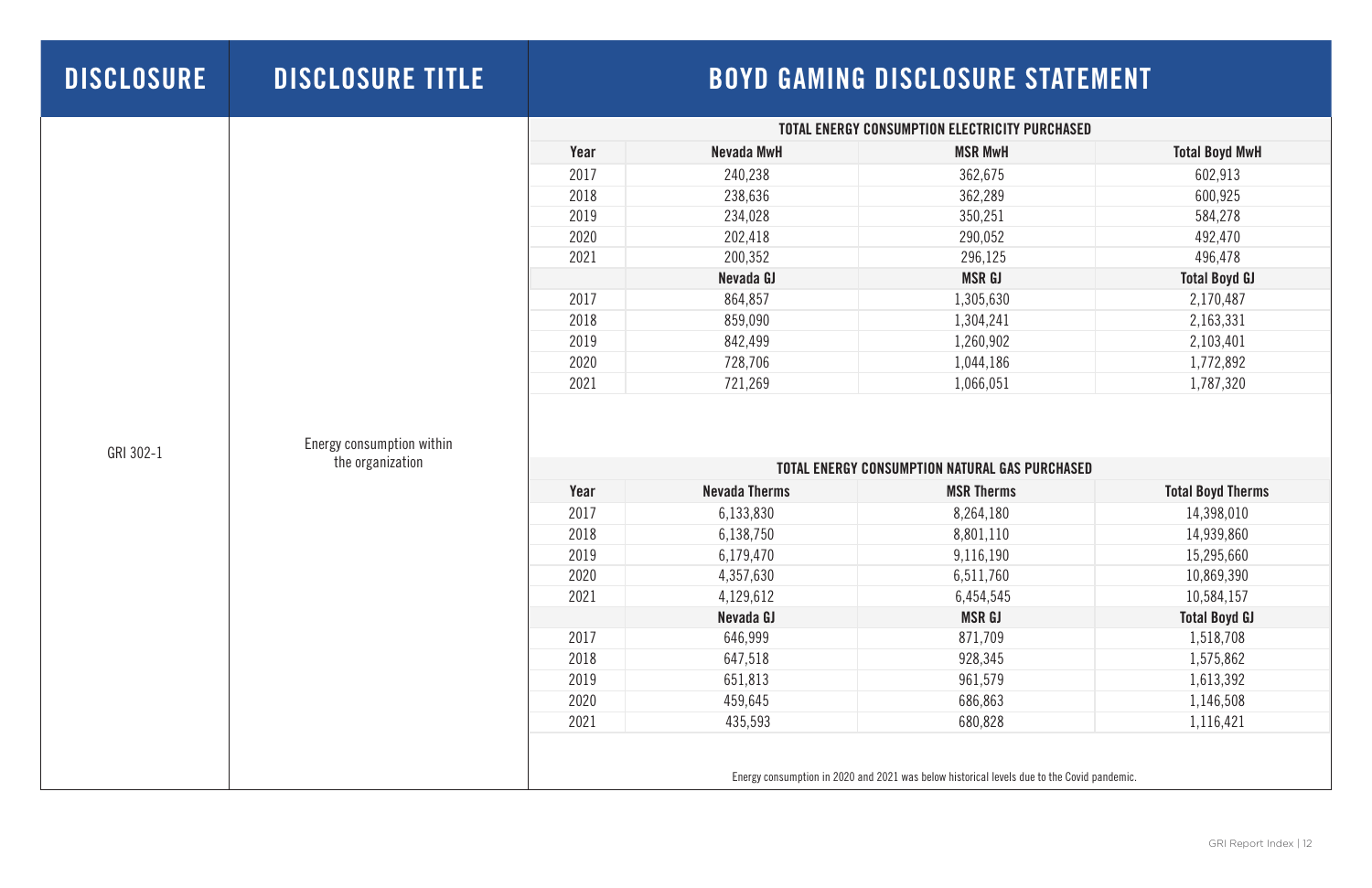| <b>DISCLOSURE</b> | <b>DISCLOSURE TITLE</b>                       |      |                      | <b>BOYD GAMING DISCLOSURE STATEMENT</b>                                                    |                          |
|-------------------|-----------------------------------------------|------|----------------------|--------------------------------------------------------------------------------------------|--------------------------|
|                   |                                               |      |                      | <b>TOTAL ENERGY CONSUMPTION ELECTRICITY PURCHASED</b>                                      |                          |
|                   |                                               | Year | <b>Nevada MwH</b>    | <b>MSR MwH</b>                                                                             | <b>Total Boyd MwH</b>    |
|                   |                                               | 2017 | 240,238              | 362,675                                                                                    | 602,913                  |
|                   |                                               | 2018 | 238,636              | 362,289                                                                                    | 600,925                  |
|                   |                                               | 2019 | 234,028              | 350,251                                                                                    | 584,278                  |
|                   |                                               | 2020 | 202,418              | 290,052                                                                                    | 492,470                  |
|                   |                                               | 2021 | 200,352              | 296,125                                                                                    | 496,478                  |
|                   |                                               |      | Nevada GJ            | <b>MSR GJ</b>                                                                              | <b>Total Boyd GJ</b>     |
|                   |                                               | 2017 | 864,857              | 1,305,630                                                                                  | 2,170,487                |
|                   |                                               | 2018 | 859,090              | 1,304,241                                                                                  | 2,163,331                |
|                   |                                               | 2019 | 842,499              | 1,260,902                                                                                  | 2,103,401                |
|                   |                                               | 2020 | 728,706              | 1,044,186                                                                                  | 1,772,892                |
|                   |                                               | 2021 | 721,269              | 1,066,051                                                                                  | 1,787,320                |
| GRI 302-1         | Energy consumption within<br>the organization |      |                      | <b>TOTAL ENERGY CONSUMPTION NATURAL GAS PURCHASED</b>                                      |                          |
|                   |                                               | Year | <b>Nevada Therms</b> | <b>MSR Therms</b>                                                                          | <b>Total Boyd Therms</b> |
|                   |                                               | 2017 | 6,133,830            | 8,264,180                                                                                  | 14,398,010               |
|                   |                                               | 2018 | 6,138,750            | 8,801,110                                                                                  | 14,939,860               |
|                   |                                               | 2019 | 6,179,470            | 9,116,190                                                                                  | 15,295,660               |
|                   |                                               | 2020 | 4,357,630            | 6,511,760                                                                                  | 10,869,390               |
|                   |                                               | 2021 | 4,129,612            | 6,454,545                                                                                  | 10,584,157               |
|                   |                                               |      | Nevada GJ            | <b>MSR GJ</b>                                                                              | <b>Total Boyd GJ</b>     |
|                   |                                               | 2017 | 646,999              | 871,709                                                                                    | 1,518,708                |
|                   |                                               | 2018 | 647,518              | 928,345                                                                                    | 1,575,862                |
|                   |                                               | 2019 | 651,813              | 961,579                                                                                    | 1,613,392                |
|                   |                                               | 2020 | 459,645              | 686,863                                                                                    | 1,146,508                |
|                   |                                               | 2021 | 435,593              | 680,828                                                                                    | 1,116,421                |
|                   |                                               |      |                      | Energy consumption in 2020 and 2021 was below historical levels due to the Covid pandemic. |                          |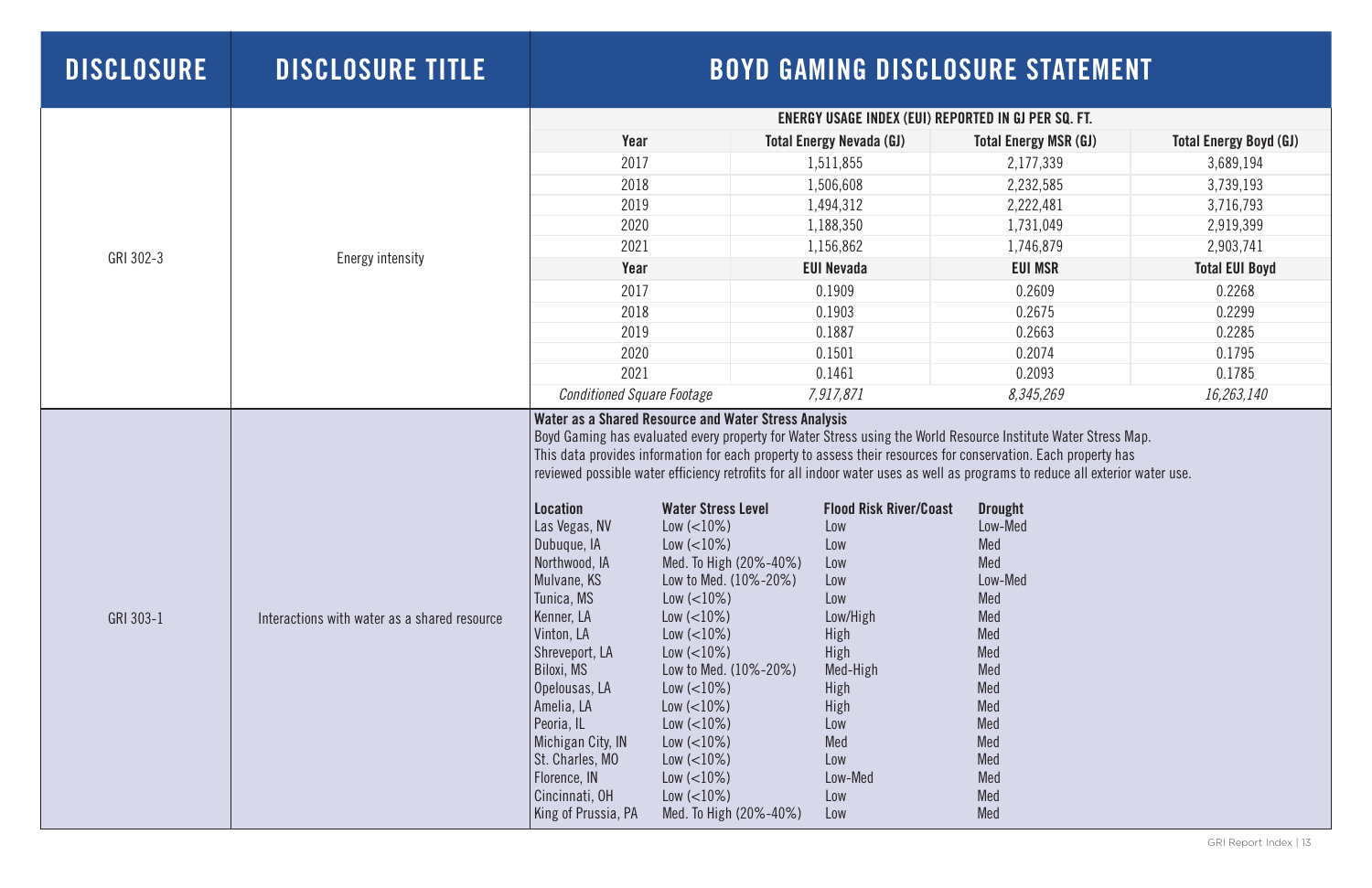| <b>DISCLOSURE</b> | <b>DISCLOSURE TITLE</b>                      |                                                                                                                                                                                                                                                                                                                                                                 |                                                                                                                                                                                                                                                                                                                                                                |                                                                                                                                                                        | <b>BOYD GAMING DISCLOSURE STATEMENT</b>                                                                                                                                                                                                                                                                                                                                                                                                                                                                           |                               |
|-------------------|----------------------------------------------|-----------------------------------------------------------------------------------------------------------------------------------------------------------------------------------------------------------------------------------------------------------------------------------------------------------------------------------------------------------------|----------------------------------------------------------------------------------------------------------------------------------------------------------------------------------------------------------------------------------------------------------------------------------------------------------------------------------------------------------------|------------------------------------------------------------------------------------------------------------------------------------------------------------------------|-------------------------------------------------------------------------------------------------------------------------------------------------------------------------------------------------------------------------------------------------------------------------------------------------------------------------------------------------------------------------------------------------------------------------------------------------------------------------------------------------------------------|-------------------------------|
|                   |                                              |                                                                                                                                                                                                                                                                                                                                                                 |                                                                                                                                                                                                                                                                                                                                                                | ENERGY USAGE INDEX (EUI) REPORTED IN GJ PER SQ. FT.                                                                                                                    |                                                                                                                                                                                                                                                                                                                                                                                                                                                                                                                   |                               |
|                   |                                              | Year                                                                                                                                                                                                                                                                                                                                                            |                                                                                                                                                                                                                                                                                                                                                                | <b>Total Energy Nevada (GJ)</b>                                                                                                                                        | <b>Total Energy MSR (GJ)</b>                                                                                                                                                                                                                                                                                                                                                                                                                                                                                      | <b>Total Energy Boyd (GJ)</b> |
|                   |                                              | 2017                                                                                                                                                                                                                                                                                                                                                            |                                                                                                                                                                                                                                                                                                                                                                | 1,511,855                                                                                                                                                              | 2,177,339                                                                                                                                                                                                                                                                                                                                                                                                                                                                                                         | 3,689,194                     |
|                   |                                              | 2018                                                                                                                                                                                                                                                                                                                                                            |                                                                                                                                                                                                                                                                                                                                                                | 1,506,608                                                                                                                                                              | 2,232,585                                                                                                                                                                                                                                                                                                                                                                                                                                                                                                         | 3,739,193                     |
|                   |                                              | 2019                                                                                                                                                                                                                                                                                                                                                            |                                                                                                                                                                                                                                                                                                                                                                | 1,494,312                                                                                                                                                              | 2,222,481                                                                                                                                                                                                                                                                                                                                                                                                                                                                                                         | 3,716,793                     |
|                   |                                              | 2020                                                                                                                                                                                                                                                                                                                                                            |                                                                                                                                                                                                                                                                                                                                                                | 1,188,350                                                                                                                                                              | 1,731,049                                                                                                                                                                                                                                                                                                                                                                                                                                                                                                         | 2,919,399                     |
|                   |                                              | 2021                                                                                                                                                                                                                                                                                                                                                            |                                                                                                                                                                                                                                                                                                                                                                | 1,156,862                                                                                                                                                              | 1,746,879                                                                                                                                                                                                                                                                                                                                                                                                                                                                                                         | 2,903,741                     |
| GRI 302-3         | Energy intensity                             | Year                                                                                                                                                                                                                                                                                                                                                            |                                                                                                                                                                                                                                                                                                                                                                | <b>EUI Nevada</b>                                                                                                                                                      | <b>EUI MSR</b>                                                                                                                                                                                                                                                                                                                                                                                                                                                                                                    | <b>Total EUI Boyd</b>         |
|                   |                                              | 2017                                                                                                                                                                                                                                                                                                                                                            |                                                                                                                                                                                                                                                                                                                                                                | 0.1909                                                                                                                                                                 | 0.2609                                                                                                                                                                                                                                                                                                                                                                                                                                                                                                            | 0.2268                        |
|                   |                                              | 2018                                                                                                                                                                                                                                                                                                                                                            |                                                                                                                                                                                                                                                                                                                                                                | 0.1903                                                                                                                                                                 | 0.2675                                                                                                                                                                                                                                                                                                                                                                                                                                                                                                            | 0.2299                        |
|                   |                                              | 2019                                                                                                                                                                                                                                                                                                                                                            |                                                                                                                                                                                                                                                                                                                                                                | 0.1887                                                                                                                                                                 | 0.2663                                                                                                                                                                                                                                                                                                                                                                                                                                                                                                            | 0.2285                        |
|                   |                                              | 2020                                                                                                                                                                                                                                                                                                                                                            |                                                                                                                                                                                                                                                                                                                                                                | 0.1501                                                                                                                                                                 | 0.2074                                                                                                                                                                                                                                                                                                                                                                                                                                                                                                            | 0.1795                        |
|                   |                                              | 2021                                                                                                                                                                                                                                                                                                                                                            |                                                                                                                                                                                                                                                                                                                                                                | 0.1461                                                                                                                                                                 | 0.2093                                                                                                                                                                                                                                                                                                                                                                                                                                                                                                            | 0.1785                        |
|                   |                                              | <b>Conditioned Square Footage</b>                                                                                                                                                                                                                                                                                                                               |                                                                                                                                                                                                                                                                                                                                                                | 7,917,871                                                                                                                                                              | 8,345,269                                                                                                                                                                                                                                                                                                                                                                                                                                                                                                         | 16,263,140                    |
| GRI 303-1         | Interactions with water as a shared resource | Water as a Shared Resource and Water Stress Analysis<br><b>Location</b><br>Las Vegas, NV<br>Dubuque, IA<br>Northwood, IA<br>Mulvane, KS<br>Tunica, MS<br>Kenner, LA<br>Vinton, LA<br>Shreveport, LA<br>Biloxi, MS<br>Opelousas, LA<br>Amelia, LA<br>Peoria, IL<br>Michigan City, IN<br>St. Charles, MO<br>Florence, IN<br>Cincinnati, OH<br>King of Prussia, PA | <b>Water Stress Level</b><br>$Low (<10\%)$<br>$Low (<10\%)$<br>Med. To High (20%-40%)<br>Low to Med. (10%-20%)<br>$Low (<10\%)$<br>$Low (<10\%)$<br>$Low (<10\%)$<br>$Low (< 10\%)$<br>Low to Med. (10%-20%)<br>$Low (<10\%)$<br>$Low (<10\%)$<br>$Low (< 10\%)$<br>$Low (<10\%)$<br>$Low (<10\%)$<br>$Low (<10\%)$<br>$Low (<10\%)$<br>Med. To High (20%-40%) | <b>Flood Risk River/Coast</b><br>Low<br>Low<br>Low<br>Low<br>Low<br>Low/High<br>High<br>High<br>Med-High<br>High<br>High<br>Low<br>Med<br>Low<br>Low-Med<br>Low<br>Low | Boyd Gaming has evaluated every property for Water Stress using the World Resource Institute Water Stress Map.<br>This data provides information for each property to assess their resources for conservation. Each property has<br>reviewed possible water efficiency retrofits for all indoor water uses as well as programs to reduce all exterior water use.<br><b>Drought</b><br>Low-Med<br>Med<br>Med<br>Low-Med<br>Med<br>Med<br>Med<br>Med<br>Med<br>Med<br>Med<br>Med<br>Med<br>Med<br>Med<br>Med<br>Med |                               |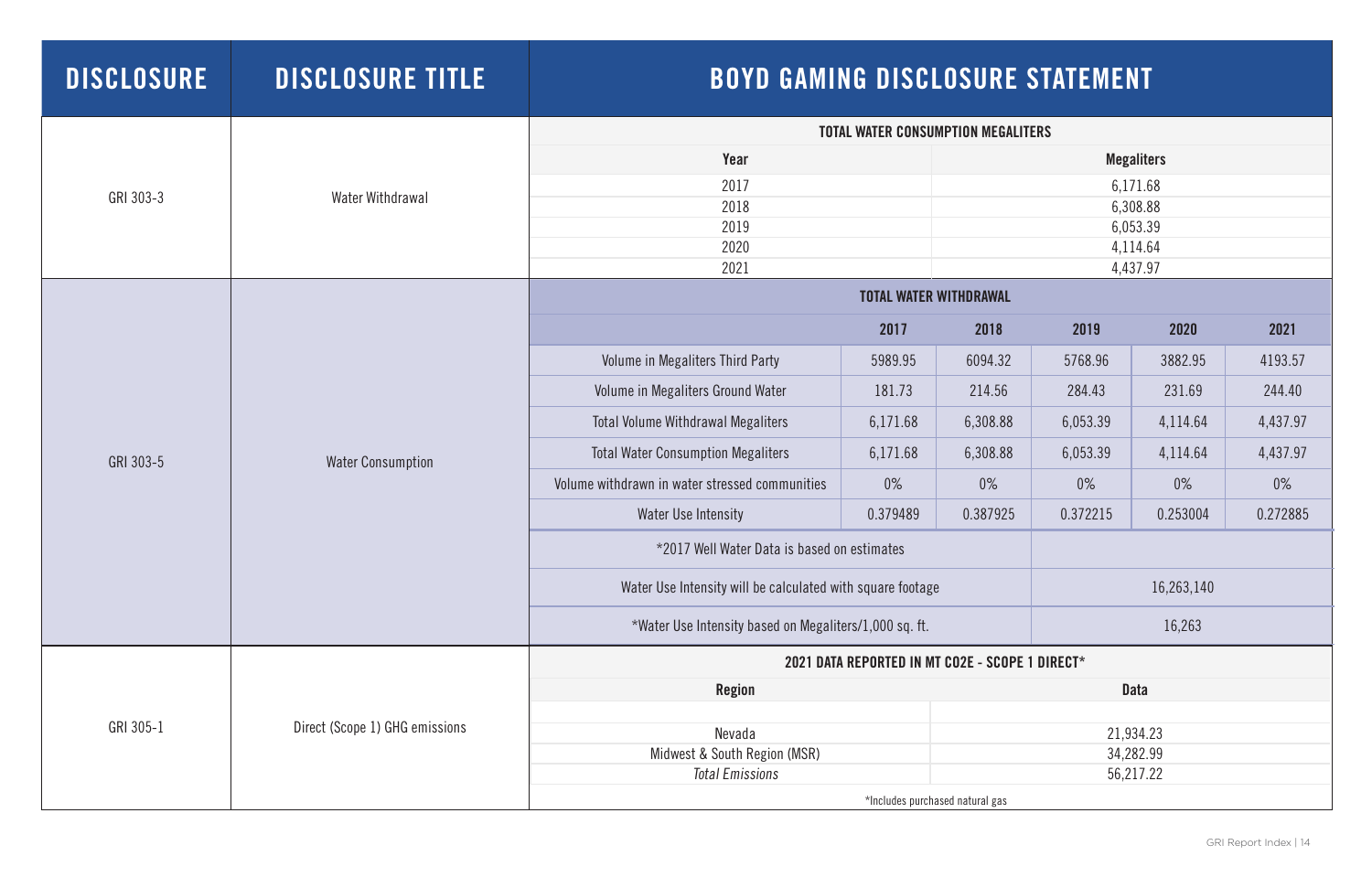| <b>DISCLOSURE</b> | <b>DISCLOSURE TITLE</b>        | <b>BOYD GAMING DISCLOSURE STATEMENT</b>                    |                               |                      |                        |           |          |
|-------------------|--------------------------------|------------------------------------------------------------|-------------------------------|----------------------|------------------------|-----------|----------|
|                   |                                | <b>TOTAL WATER CONSUMPTION MEGALITERS</b>                  |                               |                      |                        |           |          |
|                   |                                | Year                                                       | <b>Megaliters</b>             |                      |                        |           |          |
| GRI 303-3         | Water Withdrawal               | 2017                                                       |                               | 6,171.68             |                        |           |          |
|                   |                                | 2018                                                       |                               | 6,308.88             |                        |           |          |
|                   |                                | 2019<br>2020                                               |                               | 6,053.39<br>4,114.64 |                        |           |          |
|                   |                                | 2021                                                       |                               |                      |                        | 4,437.97  |          |
|                   |                                |                                                            | <b>TOTAL WATER WITHDRAWAL</b> |                      |                        |           |          |
|                   |                                |                                                            | 2017                          | 2018                 | 2019                   | 2020      | 2021     |
|                   | <b>Water Consumption</b>       | Volume in Megaliters Third Party                           | 5989.95                       | 6094.32              | 5768.96                | 3882.95   | 4193.57  |
|                   |                                | Volume in Megaliters Ground Water                          | 181.73                        | 214.56               | 284.43                 | 231.69    | 244.40   |
|                   |                                | <b>Total Volume Withdrawal Megaliters</b>                  | 6,171.68                      | 6,308.88             | 6,053.39               | 4,114.64  | 4,437.97 |
| GRI 303-5         |                                | <b>Total Water Consumption Megaliters</b>                  | 6,171.68                      | 6,308.88             | 6,053.39               | 4,114.64  | 4,437.97 |
|                   |                                | Volume withdrawn in water stressed communities             | $0\%$                         | $0\%$                | $0\%$                  | $0\%$     | $0\%$    |
|                   |                                | Water Use Intensity                                        | 0.379489                      | 0.387925             | 0.372215               | 0.253004  | 0.272885 |
|                   |                                | *2017 Well Water Data is based on estimates                |                               |                      |                        |           |          |
|                   |                                | Water Use Intensity will be calculated with square footage |                               |                      | 16,263,140             |           |          |
|                   |                                | *Water Use Intensity based on Megaliters/1,000 sq. ft.     | 16,263                        |                      |                        |           |          |
|                   | Direct (Scope 1) GHG emissions | 2021 DATA REPORTED IN MT CO2E - SCOPE 1 DIRECT*            |                               |                      |                        |           |          |
| GRI 305-1         |                                | <b>Region</b>                                              |                               |                      | <b>Data</b>            |           |          |
|                   |                                |                                                            |                               |                      |                        |           |          |
|                   |                                | Nevada<br>Midwest & South Region (MSR)                     |                               |                      | 21,934.23<br>34,282.99 |           |          |
|                   |                                | <b>Total Emissions</b>                                     |                               |                      |                        | 56,217.22 |          |
|                   |                                | *Includes purchased natural gas                            |                               |                      |                        |           |          |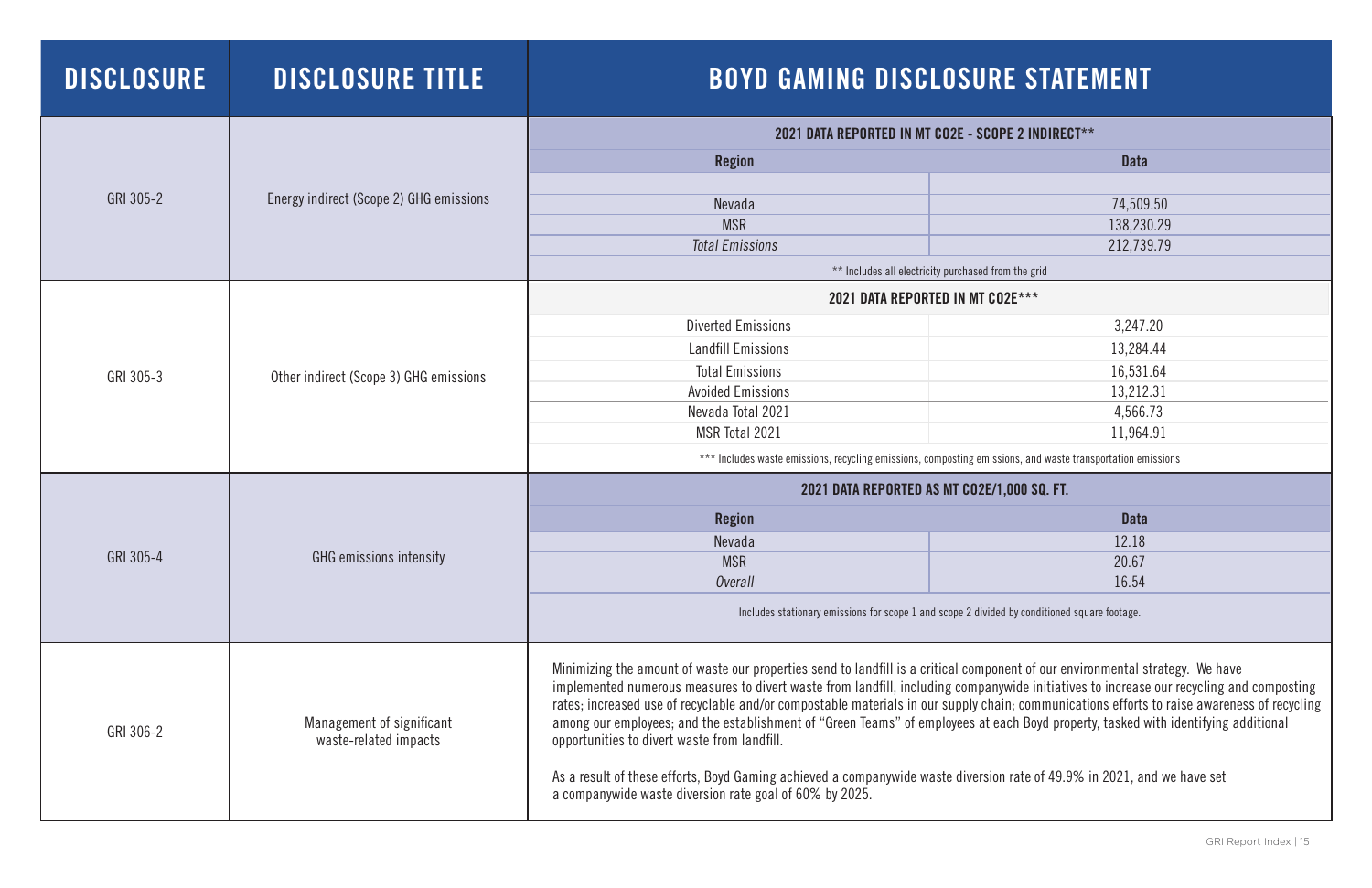| <b>DISCLOSURE</b> | <b>DISCLOSURE TITLE</b>                            | <b>BOYD GAMING DISCLOSURE STATEMENT</b>                                                                                                                                                                                                                                                                                                                                                                                                                                                                                                                                                                                                                                                                                                                                                             |             |  |  |
|-------------------|----------------------------------------------------|-----------------------------------------------------------------------------------------------------------------------------------------------------------------------------------------------------------------------------------------------------------------------------------------------------------------------------------------------------------------------------------------------------------------------------------------------------------------------------------------------------------------------------------------------------------------------------------------------------------------------------------------------------------------------------------------------------------------------------------------------------------------------------------------------------|-------------|--|--|
|                   |                                                    | 2021 DATA REPORTED IN MT CO2E - SCOPE 2 INDIRECT**                                                                                                                                                                                                                                                                                                                                                                                                                                                                                                                                                                                                                                                                                                                                                  |             |  |  |
|                   |                                                    | <b>Region</b>                                                                                                                                                                                                                                                                                                                                                                                                                                                                                                                                                                                                                                                                                                                                                                                       | <b>Data</b> |  |  |
|                   |                                                    |                                                                                                                                                                                                                                                                                                                                                                                                                                                                                                                                                                                                                                                                                                                                                                                                     |             |  |  |
| GRI 305-2         | Energy indirect (Scope 2) GHG emissions            | Nevada                                                                                                                                                                                                                                                                                                                                                                                                                                                                                                                                                                                                                                                                                                                                                                                              | 74,509.50   |  |  |
|                   |                                                    | <b>MSR</b>                                                                                                                                                                                                                                                                                                                                                                                                                                                                                                                                                                                                                                                                                                                                                                                          | 138,230.29  |  |  |
|                   |                                                    | <b>Total Emissions</b>                                                                                                                                                                                                                                                                                                                                                                                                                                                                                                                                                                                                                                                                                                                                                                              | 212,739.79  |  |  |
|                   |                                                    | ** Includes all electricity purchased from the grid                                                                                                                                                                                                                                                                                                                                                                                                                                                                                                                                                                                                                                                                                                                                                 |             |  |  |
|                   |                                                    | 2021 DATA REPORTED IN MT CO2E***                                                                                                                                                                                                                                                                                                                                                                                                                                                                                                                                                                                                                                                                                                                                                                    |             |  |  |
|                   |                                                    | <b>Diverted Emissions</b>                                                                                                                                                                                                                                                                                                                                                                                                                                                                                                                                                                                                                                                                                                                                                                           | 3,247.20    |  |  |
|                   | Other indirect (Scope 3) GHG emissions             | <b>Landfill Emissions</b>                                                                                                                                                                                                                                                                                                                                                                                                                                                                                                                                                                                                                                                                                                                                                                           | 13,284.44   |  |  |
|                   |                                                    | <b>Total Emissions</b>                                                                                                                                                                                                                                                                                                                                                                                                                                                                                                                                                                                                                                                                                                                                                                              | 16,531.64   |  |  |
| GRI 305-3         |                                                    | <b>Avoided Emissions</b>                                                                                                                                                                                                                                                                                                                                                                                                                                                                                                                                                                                                                                                                                                                                                                            | 13,212.31   |  |  |
|                   |                                                    | Nevada Total 2021                                                                                                                                                                                                                                                                                                                                                                                                                                                                                                                                                                                                                                                                                                                                                                                   | 4,566.73    |  |  |
|                   |                                                    | MSR Total 2021                                                                                                                                                                                                                                                                                                                                                                                                                                                                                                                                                                                                                                                                                                                                                                                      | 11,964.91   |  |  |
|                   |                                                    | *** Includes waste emissions, recycling emissions, composting emissions, and waste transportation emissions                                                                                                                                                                                                                                                                                                                                                                                                                                                                                                                                                                                                                                                                                         |             |  |  |
|                   | <b>GHG</b> emissions intensity                     | 2021 DATA REPORTED AS MT CO2E/1,000 SQ. FT.                                                                                                                                                                                                                                                                                                                                                                                                                                                                                                                                                                                                                                                                                                                                                         |             |  |  |
|                   |                                                    | <b>Region</b>                                                                                                                                                                                                                                                                                                                                                                                                                                                                                                                                                                                                                                                                                                                                                                                       | <b>Data</b> |  |  |
|                   |                                                    | Nevada                                                                                                                                                                                                                                                                                                                                                                                                                                                                                                                                                                                                                                                                                                                                                                                              | 12.18       |  |  |
| GRI 305-4         |                                                    | <b>MSR</b>                                                                                                                                                                                                                                                                                                                                                                                                                                                                                                                                                                                                                                                                                                                                                                                          | 20.67       |  |  |
|                   |                                                    | Overall                                                                                                                                                                                                                                                                                                                                                                                                                                                                                                                                                                                                                                                                                                                                                                                             | 16.54       |  |  |
|                   |                                                    | Includes stationary emissions for scope 1 and scope 2 divided by conditioned square footage.                                                                                                                                                                                                                                                                                                                                                                                                                                                                                                                                                                                                                                                                                                        |             |  |  |
| GRI 306-2         | Management of significant<br>waste-related impacts | Minimizing the amount of waste our properties send to landfill is a critical component of our environmental strategy. We have<br>implemented numerous measures to divert waste from landfill, including companywide initiatives to increase our recycling and composting<br>rates; increased use of recyclable and/or compostable materials in our supply chain; communications efforts to raise awareness of recycling<br>among our employees; and the establishment of "Green Teams" of employees at each Boyd property, tasked with identifying additional<br>opportunities to divert waste from landfill.<br>As a result of these efforts, Boyd Gaming achieved a companywide waste diversion rate of 49.9% in 2021, and we have set<br>a companywide waste diversion rate goal of 60% by 2025. |             |  |  |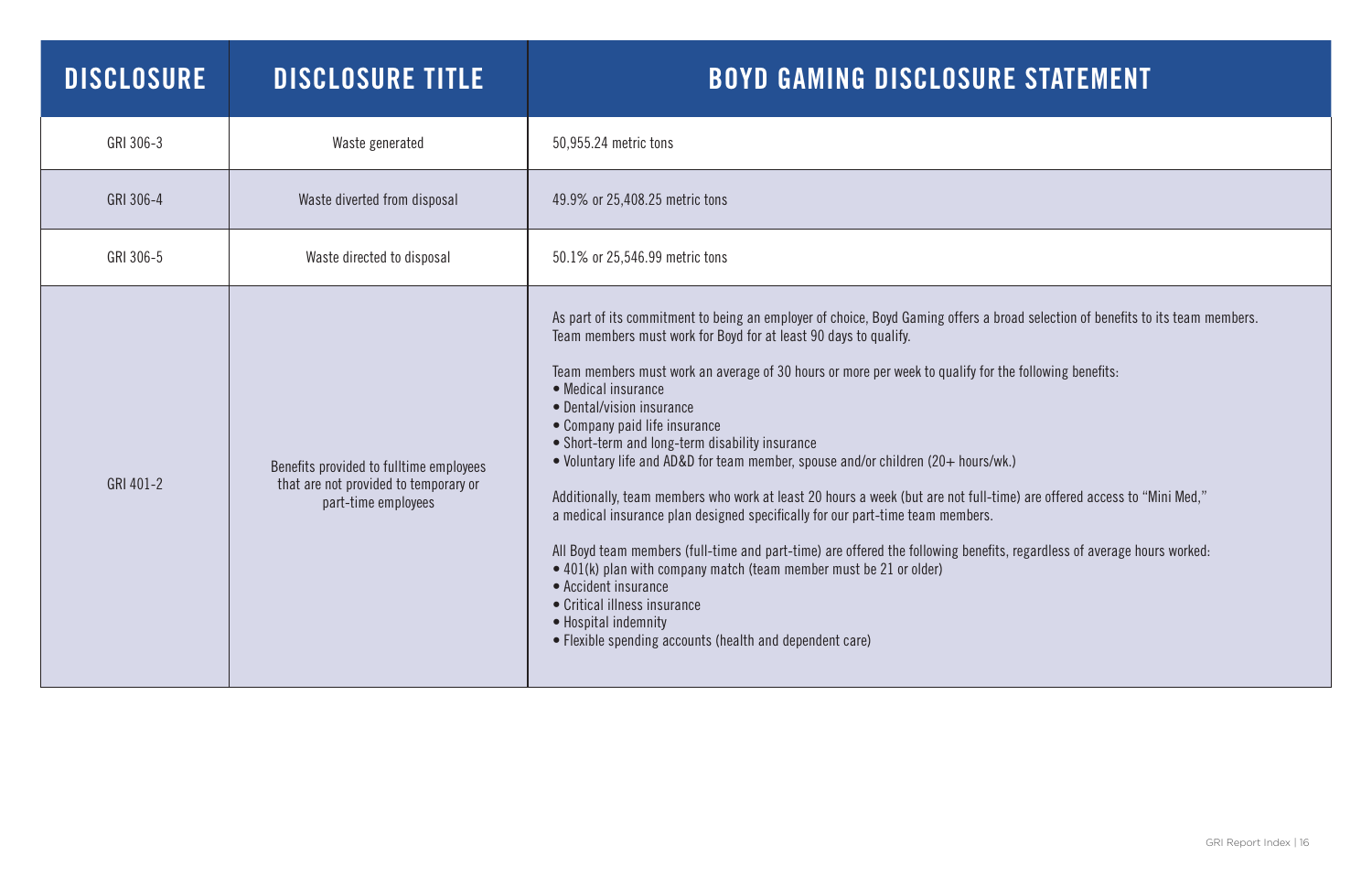| <b>DISCLOSURE</b> | <b>DISCLOSURE TITLE</b>                                                                                 | <b>BOYD GAMING DISCLOSURE</b>                                                                                                                                                                                                                                                                                                                                                                                                                                                                                                                                                                                                                                                                                                                                                                                                                                                                                                                                         |
|-------------------|---------------------------------------------------------------------------------------------------------|-----------------------------------------------------------------------------------------------------------------------------------------------------------------------------------------------------------------------------------------------------------------------------------------------------------------------------------------------------------------------------------------------------------------------------------------------------------------------------------------------------------------------------------------------------------------------------------------------------------------------------------------------------------------------------------------------------------------------------------------------------------------------------------------------------------------------------------------------------------------------------------------------------------------------------------------------------------------------|
| GRI 306-3         | Waste generated                                                                                         | 50,955.24 metric tons                                                                                                                                                                                                                                                                                                                                                                                                                                                                                                                                                                                                                                                                                                                                                                                                                                                                                                                                                 |
| GRI 306-4         | Waste diverted from disposal                                                                            | 49.9% or 25,408.25 metric tons                                                                                                                                                                                                                                                                                                                                                                                                                                                                                                                                                                                                                                                                                                                                                                                                                                                                                                                                        |
| GRI 306-5         | Waste directed to disposal                                                                              | 50.1% or 25,546.99 metric tons                                                                                                                                                                                                                                                                                                                                                                                                                                                                                                                                                                                                                                                                                                                                                                                                                                                                                                                                        |
| GRI 401-2         | Benefits provided to fulltime employees<br>that are not provided to temporary or<br>part-time employees | As part of its commitment to being an employer of choice, Boyd Gaming offers a broa<br>Team members must work for Boyd for at least 90 days to qualify.<br>Team members must work an average of 30 hours or more per week to qualify for the<br>• Medical insurance<br>• Dental/vision insurance<br>• Company paid life insurance<br>• Short-term and long-term disability insurance<br>• Voluntary life and AD&D for team member, spouse and/or children (20+ hours/wk.)<br>Additionally, team members who work at least 20 hours a week (but are not full-time<br>a medical insurance plan designed specifically for our part-time team members.<br>All Boyd team members (full-time and part-time) are offered the following benefits, r<br>$\bullet$ 401(k) plan with company match (team member must be 21 or older)<br>• Accident insurance<br>• Critical illness insurance<br>• Hospital indemnity<br>• Flexible spending accounts (health and dependent care) |

ad selection of benefits to its team members.

ne following benefits:

ne) are offered access to "Mini Med,"

, regardless of average hours worked: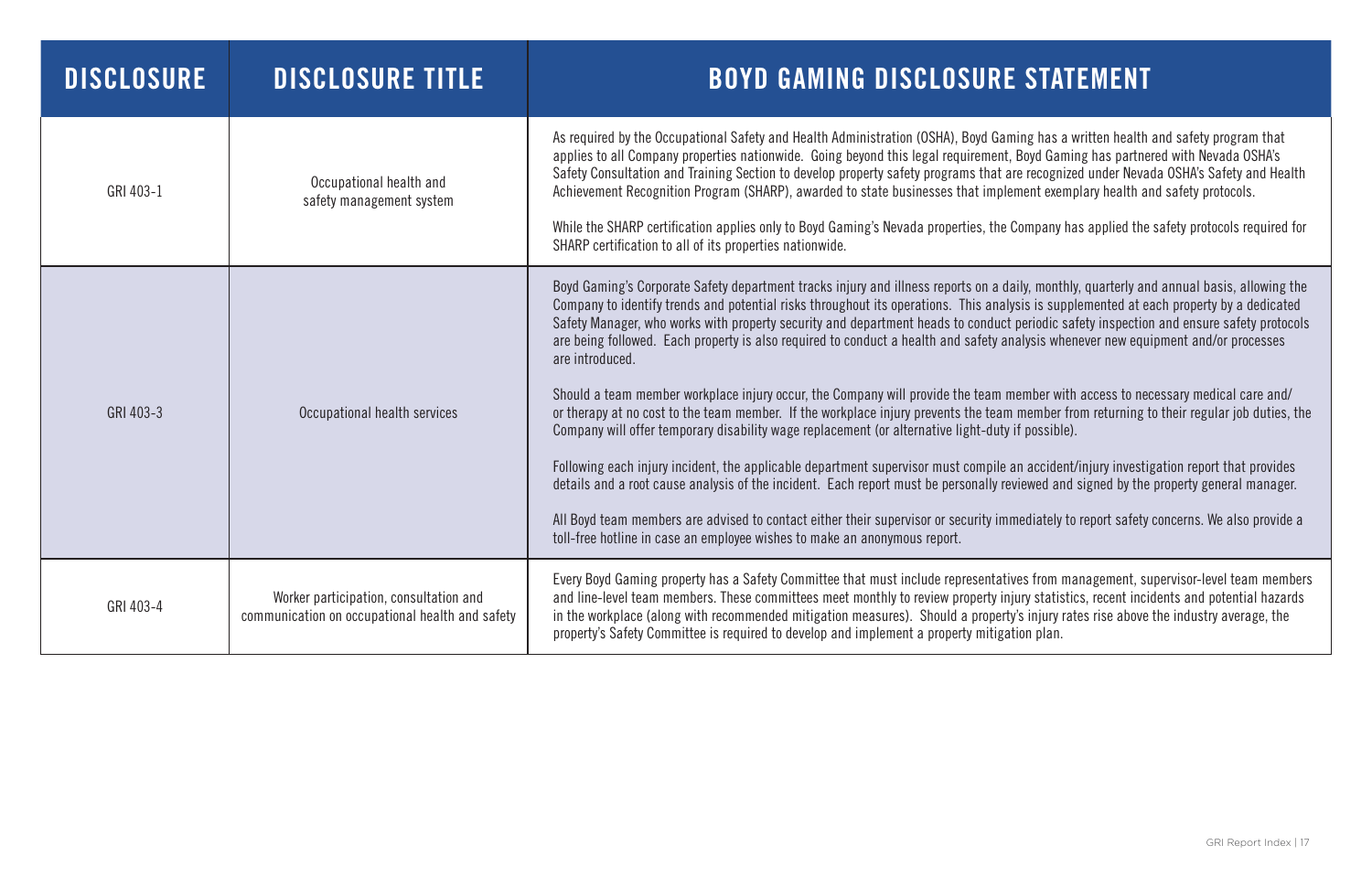| <b>DISCLOSURE</b> | <b>DISCLOSURE TITLE</b>                                                                   | <b>BOYD GAMING DISCLOSURE</b>                                                                                                                                                                                                                                                                                                                                                                                                                                                                                                                                                                                                                                                                                                                                                                                                                                                                                                                                                                |
|-------------------|-------------------------------------------------------------------------------------------|----------------------------------------------------------------------------------------------------------------------------------------------------------------------------------------------------------------------------------------------------------------------------------------------------------------------------------------------------------------------------------------------------------------------------------------------------------------------------------------------------------------------------------------------------------------------------------------------------------------------------------------------------------------------------------------------------------------------------------------------------------------------------------------------------------------------------------------------------------------------------------------------------------------------------------------------------------------------------------------------|
| GRI 403-1         | Occupational health and<br>safety management system                                       | As required by the Occupational Safety and Health Administration (OSHA), Boyd Gar<br>applies to all Company properties nationwide. Going beyond this legal requirement.<br>Safety Consultation and Training Section to develop property safety programs that a<br>Achievement Recognition Program (SHARP), awarded to state businesses that imple-<br>While the SHARP certification applies only to Boyd Gaming's Nevada properties, the<br>SHARP certification to all of its properties nationwide.                                                                                                                                                                                                                                                                                                                                                                                                                                                                                         |
| GRI 403-3         | Occupational health services                                                              | Boyd Gaming's Corporate Safety department tracks injury and illness reports on a d<br>Company to identify trends and potential risks throughout its operations. This anal<br>Safety Manager, who works with property security and department heads to conduct<br>are being followed. Each property is also required to conduct a health and safety an<br>are introduced.<br>Should a team member workplace injury occur, the Company will provide the team no<br>or therapy at no cost to the team member. If the workplace injury prevents the team<br>Company will offer temporary disability wage replacement (or alternative light-duty<br>Following each injury incident, the applicable department supervisor must compile<br>details and a root cause analysis of the incident. Each report must be personally re<br>All Boyd team members are advised to contact either their supervisor or security im<br>toll-free hotline in case an employee wishes to make an anonymous report. |
| GRI 403-4         | Worker participation, consultation and<br>communication on occupational health and safety | Every Boyd Gaming property has a Safety Committee that must include representati<br>and line-level team members. These committees meet monthly to review property in<br>in the workplace (along with recommended mitigation measures). Should a propert<br>property's Safety Committee is required to develop and implement a property mitiga                                                                                                                                                                                                                                                                                                                                                                                                                                                                                                                                                                                                                                                |

ming has a written health and safety program that Boyd Gaming has partnered with Nevada OSHA's are recognized under Nevada OSHA's Safety and Health lement exemplary health and safety protocols.

Gompany has applied the safety protocols required for

aily, monthly, quarterly and annual basis, allowing the lysis is supplemented at each property by a dedicated t periodic safety inspection and ensure safety protocols nalysis whenever new equipment and/or processes

member with access to necessary medical care and/ or therapore from returning to their regular job duties, the  $\alpha$  if possible).

an accident/injury investigation report that provides eviewed and signed by the property general manager.

mediately to report safety concerns. We also provide a

ives from management, supervisor-level team members njury statistics, recent incidents and potential hazards ty's injury rates rise above the industry average, the ation plan.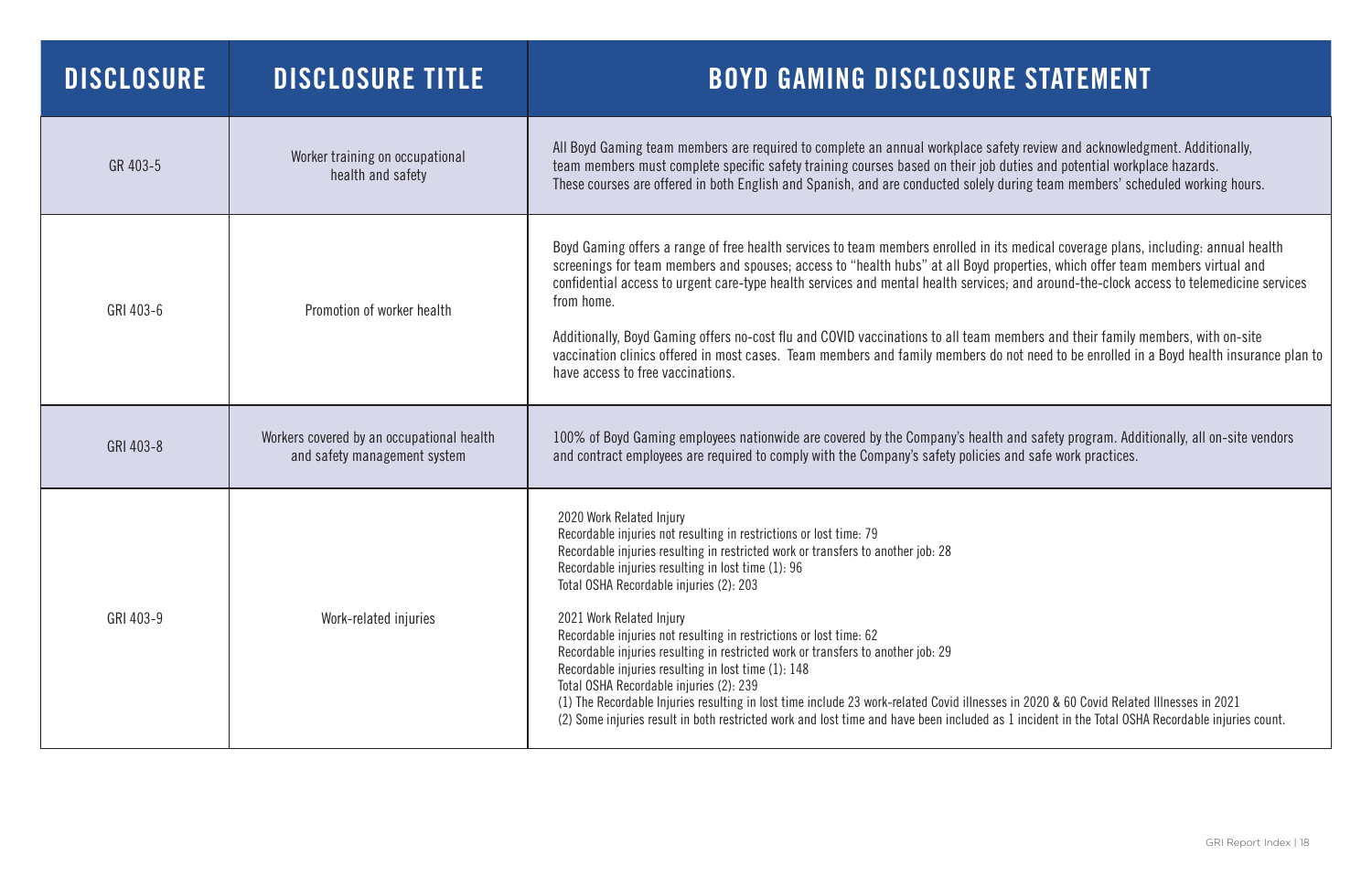| DISCLOSURE | <b>DISCLOSURE TITLE</b>                                                   | <b>BOYD GAMING DISCLOSURE STATEMENT</b>                                                                                                                                                                                                                                                                                                                                                                                                                                                                                                                                                                                                                                                                                                                                                                                                                                |
|------------|---------------------------------------------------------------------------|------------------------------------------------------------------------------------------------------------------------------------------------------------------------------------------------------------------------------------------------------------------------------------------------------------------------------------------------------------------------------------------------------------------------------------------------------------------------------------------------------------------------------------------------------------------------------------------------------------------------------------------------------------------------------------------------------------------------------------------------------------------------------------------------------------------------------------------------------------------------|
| GR 403-5   | Worker training on occupational<br>health and safety                      | All Boyd Gaming team members are required to complete an annual workplace safety review and acknowledgment. Additionally,<br>team members must complete specific safety training courses based on their job duties and potential workplace hazards.<br>These courses are offered in both English and Spanish, and are conducted solely during team members' scheduled working hours.                                                                                                                                                                                                                                                                                                                                                                                                                                                                                   |
| GRI 403-6  | Promotion of worker health                                                | Boyd Gaming offers a range of free health services to team members enrolled in its medical coverage plans, including: annual head<br>screenings for team members and spouses; access to "health hubs" at all Boyd properties, which offer team members virtual and<br>confidential access to urgent care-type health services and mental health services; and around-the-clock access to telemedicine<br>from home.<br>Additionally, Boyd Gaming offers no-cost flu and COVID vaccinations to all team members and their family members, with on-site<br>vaccination clinics offered in most cases. Team members and family members do not need to be enrolled in a Boyd health insurar<br>have access to free vaccinations.                                                                                                                                           |
| GRI 403-8  | Workers covered by an occupational health<br>and safety management system | 100% of Boyd Gaming employees nationwide are covered by the Company's health and safety program. Additionally, all on-site ve<br>and contract employees are required to comply with the Company's safety policies and safe work practices.                                                                                                                                                                                                                                                                                                                                                                                                                                                                                                                                                                                                                             |
| GRI 403-9  | Work-related injuries                                                     | 2020 Work Related Injury<br>Recordable injuries not resulting in restrictions or lost time: 79<br>Recordable injuries resulting in restricted work or transfers to another job: 28<br>Recordable injuries resulting in lost time (1): 96<br>Total OSHA Recordable injuries (2): 203<br>2021 Work Related Injury<br>Recordable injuries not resulting in restrictions or lost time: 62<br>Recordable injuries resulting in restricted work or transfers to another job: 29<br>Recordable injuries resulting in lost time (1): 148<br>Total OSHA Recordable injuries (2): 239<br>(1) The Recordable Injuries resulting in lost time include 23 work-related Covid illnesses in 2020 & 60 Covid Related Illnesses in 2021<br>(2) Some injuries result in both restricted work and lost time and have been included as 1 incident in the Total OSHA Recordable injuries co |

medical coverage plans, including: annual health pperties, which offer team members virtual and  $\frac{1}{2}$  and around-the-clock access to telemedicine services

embers and their family members, with on-site not need to be enrolled in a Boyd health insurance plan to

and safety program. Additionally, all on-site vendors and safe work practices.

in 2020 & 60 Covid Related Illnesses in 2021 l incident in the Total OSHA Recordable injuries count.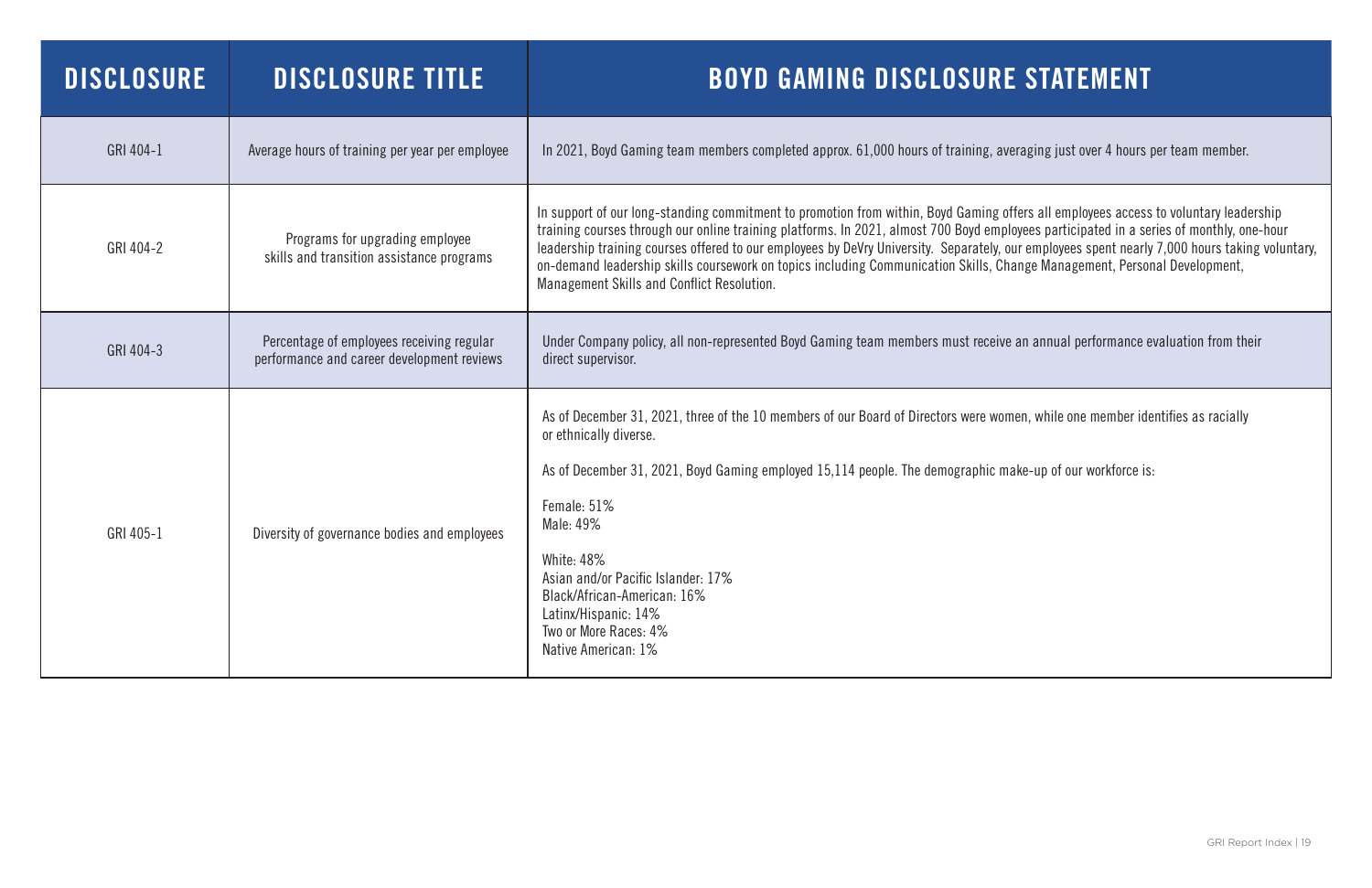| <b>DISCLOSURE</b> | <b>DISCLOSURE TITLE</b>                                                                 | <b>BOYD GAMING DISCLOSURE STATEMENT</b>                                                                                                                                                                                                                                                                                                                                                                                                                                                                                                                                                                       |
|-------------------|-----------------------------------------------------------------------------------------|---------------------------------------------------------------------------------------------------------------------------------------------------------------------------------------------------------------------------------------------------------------------------------------------------------------------------------------------------------------------------------------------------------------------------------------------------------------------------------------------------------------------------------------------------------------------------------------------------------------|
| GRI 404-1         | Average hours of training per year per employee                                         | In 2021, Boyd Gaming team members completed approx. 61,000 hours of training, averaging just over 4 hours per team member.                                                                                                                                                                                                                                                                                                                                                                                                                                                                                    |
| GRI 404-2         | Programs for upgrading employee<br>skills and transition assistance programs            | In support of our long-standing commitment to promotion from within, Boyd Gaming offers all employees access to voluntary leadership<br>training courses through our online training platforms. In 2021, almost 700 Boyd employees participated in a series of monthly, one-hour<br>leadership training courses offered to our employees by DeVry University. Separately, our employees spent nearly 7,000 hours taking voluntary,<br>on-demand leadership skills coursework on topics including Communication Skills, Change Management, Personal Development,<br>Management Skills and Conflict Resolution. |
| GRI 404-3         | Percentage of employees receiving regular<br>performance and career development reviews | Under Company policy, all non-represented Boyd Gaming team members must receive an annual performance evaluation from their<br>direct supervisor.                                                                                                                                                                                                                                                                                                                                                                                                                                                             |
| GRI 405-1         | Diversity of governance bodies and employees                                            | As of December 31, 2021, three of the 10 members of our Board of Directors were women, while one member identifies as racially<br>or ethnically diverse.<br>As of December 31, 2021, Boyd Gaming employed 15,114 people. The demographic make-up of our workforce is:<br>Female: 51%<br>Male: 49%<br><b>White: 48%</b><br>Asian and/or Pacific Islander: 17%<br>Black/African-American: 16%<br>Latinx/Hispanic: 14%<br>Two or More Races: 4%<br>Native American: 1%                                                                                                                                           |